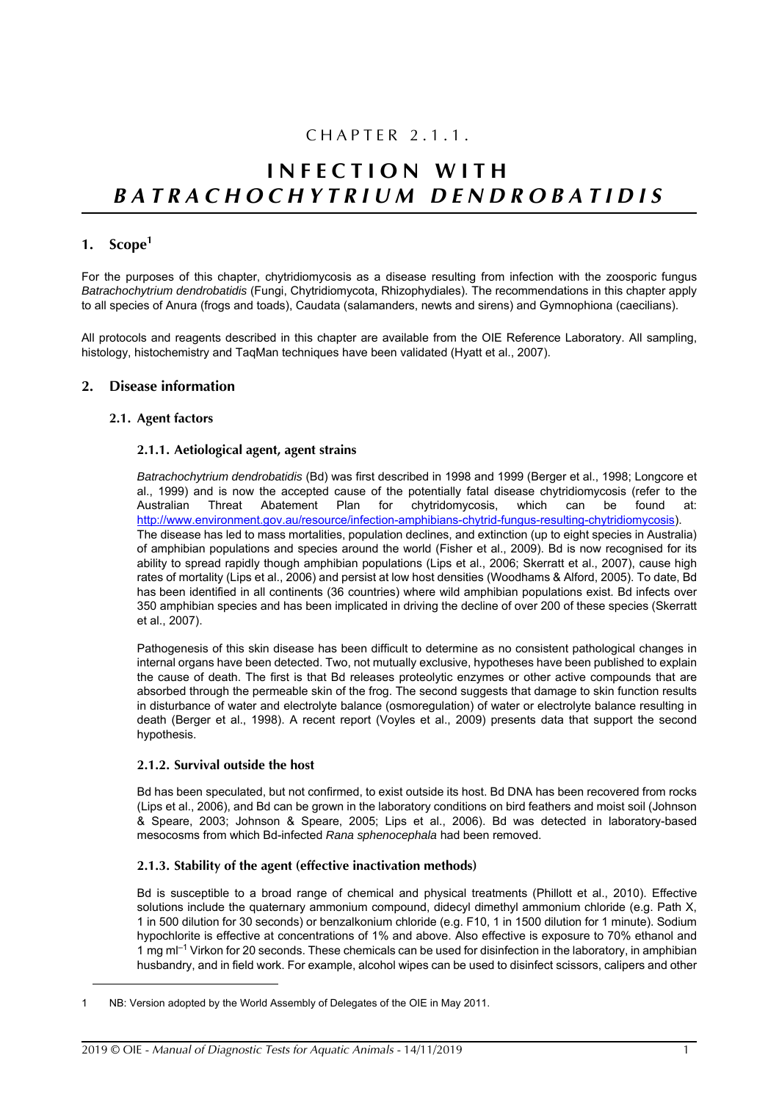## CHAPTER 2.1.1.

# **INFECTION WITH** *BATRACHOCHYTRIU M DENDROBATIDIS*

## **1. Scope<sup>1</sup>**

For the purposes of this chapter, chytridiomycosis as a disease resulting from infection with the zoosporic fungus *Batrachochytrium dendrobatidis* (Fungi, Chytridiomycota, Rhizophydiales). The recommendations in this chapter apply to all species of Anura (frogs and toads), Caudata (salamanders, newts and sirens) and Gymnophiona (caecilians).

All protocols and reagents described in this chapter are available from the OIE Reference Laboratory. All sampling, histology, histochemistry and TaqMan techniques have been validated ([Hyatt et al., 2007\)](#page-20-0).

## **2. Disease information**

## **2.1. Agent factors**

## **2.1.1. Aetiological agent, agent strains**

*Batrachochytrium dendrobatidis* (Bd) was first described in 1998 and 1999 ([Berger et al., 1998](#page-19-0); [Longcore et](#page-20-1) [al., 1999\)](#page-20-1) and is now the accepted cause of the potentially fatal disease chytridiomycosis (refer to the Australian Threat Abatement Plan for chytridomycosis. which can be found at: Australian Threat Abatement Plan for chytridomycosis, which can be found at: [http://www.environment.gov.au/resource/infection-amphibians-chytrid-fungus-resulting-chytridiomycosis\)](http://www.environment.gov.au/resource/infection-amphibians-chytrid-fungus-resulting-chytridiomycosis). The disease has led to mass mortalities, population declines, and extinction (up to eight species in Australia) of amphibian populations and species around the world [\(Fisher et al., 2009](#page-19-1)). Bd is now recognised for its ability to spread rapidly though amphibian populations ([Lips et al., 2006](#page-20-2); [Skerratt et al., 2007](#page-20-3)), cause high rates of mortality ([Lips et al., 2006\)](#page-20-2) and persist at low host densities [\(Woodhams & Alford, 2005](#page-21-0)). To date, Bd has been identified in all continents (36 countries) where wild amphibian populations exist. Bd infects over 350 amphibian species and has been implicated in driving the decline of over 200 of these species [\(Skerratt](#page-20-3) [et al., 2007](#page-20-3)).

Pathogenesis of this skin disease has been difficult to determine as no consistent pathological changes in internal organs have been detected. Two, not mutually exclusive, hypotheses have been published to explain the cause of death. The first is that Bd releases proteolytic enzymes or other active compounds that are absorbed through the permeable skin of the frog. The second suggests that damage to skin function results in disturbance of water and electrolyte balance (osmoregulation) of water or electrolyte balance resulting in death [\(Berger et al., 1998](#page-19-0)). A recent report [\(Voyles et al., 2009](#page-21-1)) presents data that support the second hypothesis.

## **2.1.2. Survival outside the host**

Bd has been speculated, but not confirmed, to exist outside its host. Bd DNA has been recovered from rocks ([Lips et al., 2006\)](#page-20-2), and Bd can be grown in the laboratory conditions on bird feathers and moist soil ([Johnson](#page-20-4) [& Speare, 2003;](#page-20-4) [Johnson & Speare, 2005;](#page-20-5) [Lips et al., 2006\)](#page-20-2). Bd was detected in laboratory-based mesocosms from which Bd-infected *Rana sphenocephala* had been removed.

## **2.1.3. Stability of the agent (effective inactivation methods)**

Bd is susceptible to a broad range of chemical and physical treatments [\(Phillott et al., 2010\)](#page-20-6). Effective solutions include the quaternary ammonium compound, didecyl dimethyl ammonium chloride (e.g. Path X, 1 in 500 dilution for 30 seconds) or benzalkonium chloride (e.g. F10, 1 in 1500 dilution for 1 minute). Sodium hypochlorite is effective at concentrations of 1% and above. Also effective is exposure to 70% ethanol and 1 mg ml<sup>-1</sup> Virkon for 20 seconds. These chemicals can be used for disinfection in the laboratory, in amphibian husbandry, and in field work. For example, alcohol wipes can be used to disinfect scissors, calipers and other

NB: Version adopted by the World Assembly of Delegates of the OIE in May 2011.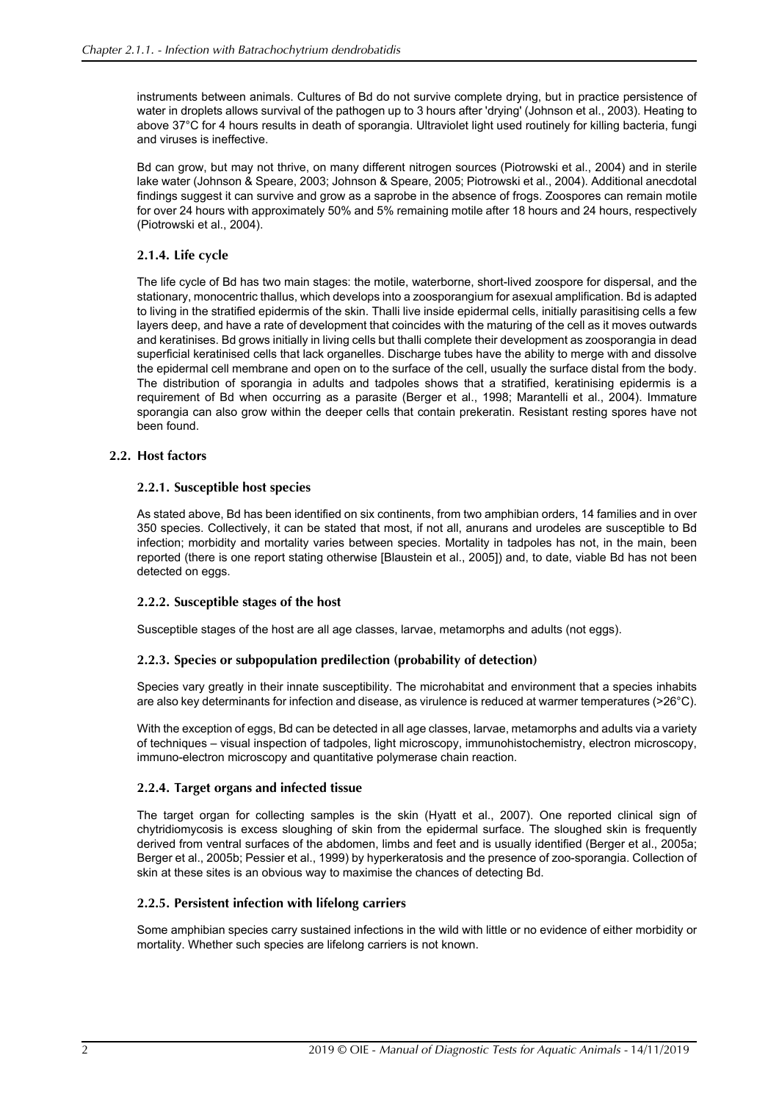instruments between animals. Cultures of Bd do not survive complete drying, but in practice persistence of water in droplets allows survival of the pathogen up to 3 hours after 'drying' [\(Johnson et al., 2003](#page-20-7)). Heating to above 37°C for 4 hours results in death of sporangia. Ultraviolet light used routinely for killing bacteria, fungi and viruses is ineffective.

Bd can grow, but may not thrive, on many different nitrogen sources ([Piotrowski et al., 2004](#page-20-8)) and in sterile lake water ([Johnson & Speare, 2003](#page-20-4); [Johnson & Speare, 2005](#page-20-5); [Piotrowski et al., 2004](#page-20-8)). Additional anecdotal findings suggest it can survive and grow as a saprobe in the absence of frogs. Zoospores can remain motile for over 24 hours with approximately 50% and 5% remaining motile after 18 hours and 24 hours, respectively ([Piotrowski et al., 2004\)](#page-20-8).

## **2.1.4. Life cycle**

The life cycle of Bd has two main stages: the motile, waterborne, short-lived zoospore for dispersal, and the stationary, monocentric thallus, which develops into a zoosporangium for asexual amplification. Bd is adapted to living in the stratified epidermis of the skin. Thalli live inside epidermal cells, initially parasitising cells a few layers deep, and have a rate of development that coincides with the maturing of the cell as it moves outwards and keratinises. Bd grows initially in living cells but thalli complete their development as zoosporangia in dead superficial keratinised cells that lack organelles. Discharge tubes have the ability to merge with and dissolve the epidermal cell membrane and open on to the surface of the cell, usually the surface distal from the body. The distribution of sporangia in adults and tadpoles shows that a stratified, keratinising epidermis is a requirement of Bd when occurring as a parasite ([Berger et al., 1998;](#page-19-0) [Marantelli et al., 2004\)](#page-20-9). Immature sporangia can also grow within the deeper cells that contain prekeratin. Resistant resting spores have not been found.

## **2.2. Host factors**

## **2.2.1. Susceptible host species**

As stated above, Bd has been identified on six continents, from two amphibian orders, 14 families and in over 350 species. Collectively, it can be stated that most, if not all, anurans and urodeles are susceptible to Bd infection; morbidity and mortality varies between species. Mortality in tadpoles has not, in the main, been reported (there is one report stating otherwise [[Blaustein et al., 2005\]](#page-19-2)) and, to date, viable Bd has not been detected on eggs.

## **2.2.2. Susceptible stages of the host**

Susceptible stages of the host are all age classes, larvae, metamorphs and adults (not eggs).

## **2.2.3. Species or subpopulation predilection (probability of detection)**

Species vary greatly in their innate susceptibility. The microhabitat and environment that a species inhabits are also key determinants for infection and disease, as virulence is reduced at warmer temperatures (>26°C).

With the exception of eggs, Bd can be detected in all age classes, larvae, metamorphs and adults via a variety of techniques – visual inspection of tadpoles, light microscopy, immunohistochemistry, electron microscopy, immuno-electron microscopy and quantitative polymerase chain reaction.

## **2.2.4. Target organs and infected tissue**

The target organ for collecting samples is the skin ([Hyatt et al., 2007](#page-20-0)). One reported clinical sign of chytridiomycosis is excess sloughing of skin from the epidermal surface. The sloughed skin is frequently derived from ventral surfaces of the abdomen, limbs and feet and is usually identified ([Berger et al., 2005a](#page-19-3); [Berger et al., 2005b](#page-19-4); [Pessier et al., 1999\)](#page-20-10) by hyperkeratosis and the presence of zoo-sporangia. Collection of skin at these sites is an obvious way to maximise the chances of detecting Bd.

## **2.2.5. Persistent infection with lifelong carriers**

Some amphibian species carry sustained infections in the wild with little or no evidence of either morbidity or mortality. Whether such species are lifelong carriers is not known.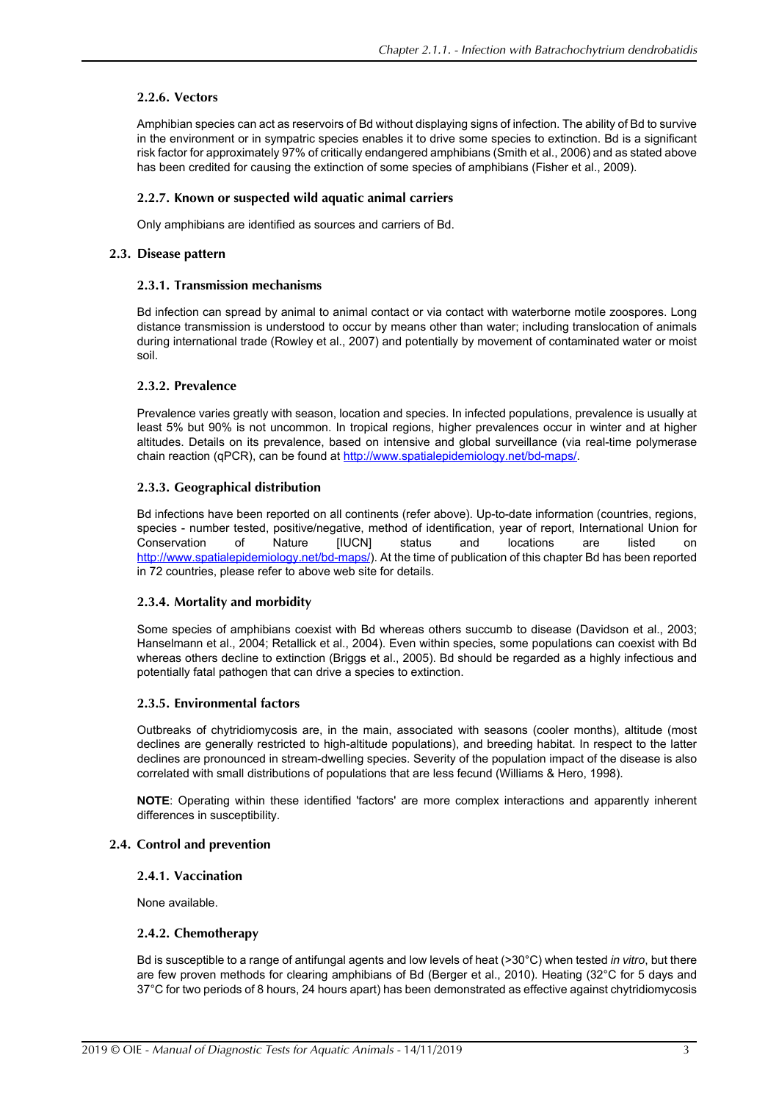## **2.2.6. Vectors**

Amphibian species can act as reservoirs of Bd without displaying signs of infection. The ability of Bd to survive in the environment or in sympatric species enables it to drive some species to extinction. Bd is a significant risk factor for approximately 97% of critically endangered amphibians ([Smith et al., 2006](#page-21-2)) and as stated above has been credited for causing the extinction of some species of amphibians ([Fisher et al., 2009\)](#page-19-1).

## **2.2.7. Known or suspected wild aquatic animal carriers**

Only amphibians are identified as sources and carriers of Bd.

## **2.3. Disease pattern**

## **2.3.1. Transmission mechanisms**

Bd infection can spread by animal to animal contact or via contact with waterborne motile zoospores. Long distance transmission is understood to occur by means other than water; including translocation of animals during international trade ([Rowley et al., 2007\)](#page-20-11) and potentially by movement of contaminated water or moist soil.

## **2.3.2. Prevalence**

Prevalence varies greatly with season, location and species. In infected populations, prevalence is usually at least 5% but 90% is not uncommon. In tropical regions, higher prevalences occur in winter and at higher altitudes. Details on its prevalence, based on intensive and global surveillance (via real-time polymerase chain reaction (qPCR), can be found at <http://www.spatialepidemiology.net/bd-maps/>.

## **2.3.3. Geographical distribution**

Bd infections have been reported on all continents (refer above). Up-to-date information (countries, regions, species - number tested, positive/negative, method of identification, year of report, International Union for Conservation of Nature [IUCN] status and locations are listed on <http://www.spatialepidemiology.net/bd-maps/>). At the time of publication of this chapter Bd has been reported in 72 countries, please refer to above web site for details.

## **2.3.4. Mortality and morbidity**

Some species of amphibians coexist with Bd whereas others succumb to disease [\(Davidson et al., 2003](#page-19-5); [Hanselmann et al., 2004;](#page-19-6) [Retallick et al., 2004](#page-20-12)). Even within species, some populations can coexist with Bd whereas others decline to extinction ([Briggs et al., 2005\)](#page-19-7). Bd should be regarded as a highly infectious and potentially fatal pathogen that can drive a species to extinction.

## **2.3.5. Environmental factors**

Outbreaks of chytridiomycosis are, in the main, associated with seasons (cooler months), altitude (most declines are generally restricted to high-altitude populations), and breeding habitat. In respect to the latter declines are pronounced in stream-dwelling species. Severity of the population impact of the disease is also correlated with small distributions of populations that are less fecund ([Williams & Hero, 1998\)](#page-21-3).

**NOTE**: Operating within these identified 'factors' are more complex interactions and apparently inherent differences in susceptibility.

## **2.4. Control and prevention**

## **2.4.1. Vaccination**

None available.

## **2.4.2. Chemotherapy**

Bd is susceptible to a range of antifungal agents and low levels of heat (>30°C) when tested *in vitro*, but there are few proven methods for clearing amphibians of Bd [\(Berger et al., 2010\)](#page-19-8). Heating (32°C for 5 days and 37°C for two periods of 8 hours, 24 hours apart) has been demonstrated as effective against chytridiomycosis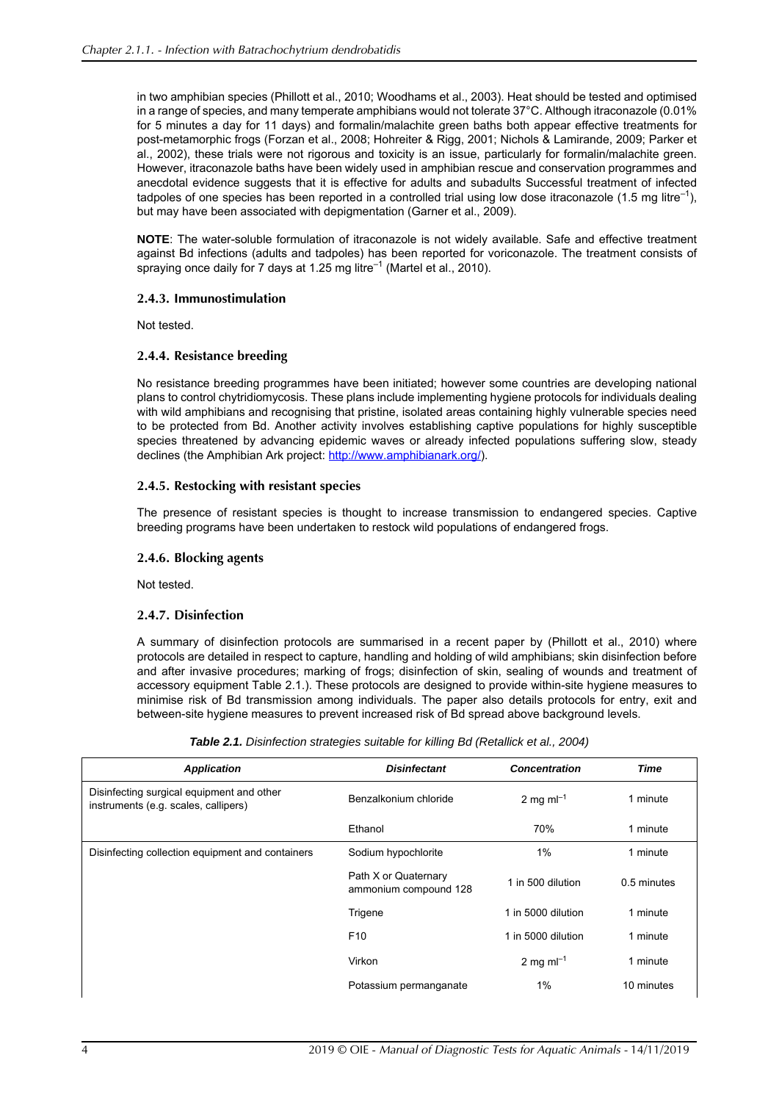in two amphibian species ([Phillott et al., 2010](#page-20-6); [Woodhams et al., 2003](#page-21-4)). Heat should be tested and optimised in a range of species, and many temperate amphibians would not tolerate 37°C. Although itraconazole (0.01% for 5 minutes a day for 11 days) and formalin/malachite green baths both appear effective treatments for post-metamorphic frogs ([Forzan et al., 2008](#page-19-9); [Hohreiter & Rigg, 2001;](#page-20-13) [Nichols & Lamirande, 2009](#page-20-14); [Parker et](#page-20-15) [al., 2002](#page-20-15)), these trials were not rigorous and toxicity is an issue, particularly for formalin/malachite green. However, itraconazole baths have been widely used in amphibian rescue and conservation programmes and anecdotal evidence suggests that it is effective for adults and subadults Successful treatment of infected tadpoles of one species has been reported in a controlled trial using low dose itraconazole (1.5 mg litre<sup>-1</sup>), but may have been associated with depigmentation ([Garner et al., 2009\)](#page-19-10).

**NOTE**: The water-soluble formulation of itraconazole is not widely available. Safe and effective treatment against Bd infections (adults and tadpoles) has been reported for voriconazole. The treatment consists of spraying once daily for 7 days at 1.25 mg litre<sup>-1</sup> [\(Martel et al., 2010](#page-20-16)).

## **2.4.3. Immunostimulation**

Not tested.

## **2.4.4. Resistance breeding**

No resistance breeding programmes have been initiated; however some countries are developing national plans to control chytridiomycosis. These plans include implementing hygiene protocols for individuals dealing with wild amphibians and recognising that pristine, isolated areas containing highly vulnerable species need to be protected from Bd. Another activity involves establishing captive populations for highly susceptible species threatened by advancing epidemic waves or already infected populations suffering slow, steady declines (the Amphibian Ark project: [http://www.amphibianark.org/\)](http://www.amphibianark.org/).

## **2.4.5. Restocking with resistant species**

The presence of resistant species is thought to increase transmission to endangered species. Captive breeding programs have been undertaken to restock wild populations of endangered frogs.

## **2.4.6. Blocking agents**

Not tested.

## **2.4.7. Disinfection**

<span id="page-3-0"></span>A summary of disinfection protocols are summarised in a recent paper by [\(Phillott et al., 2010](#page-20-6)) where protocols are detailed in respect to capture, handling and holding of wild amphibians; skin disinfection before and after invasive procedures; marking of frogs; disinfection of skin, sealing of wounds and treatment of accessory equipment Table [2.1.](#page-3-0)). These protocols are designed to provide within-site hygiene measures to minimise risk of Bd transmission among individuals. The paper also details protocols for entry, exit and between-site hygiene measures to prevent increased risk of Bd spread above background levels.

| Table 2.1. Disinfection strategies suitable for killing Bd (Retallick et al., 2004) |  |  |  |  |
|-------------------------------------------------------------------------------------|--|--|--|--|
|-------------------------------------------------------------------------------------|--|--|--|--|

| <b>Application</b>                                                                | <b>Disinfectant</b>                           | <b>Concentration</b> | Time        |
|-----------------------------------------------------------------------------------|-----------------------------------------------|----------------------|-------------|
| Disinfecting surgical equipment and other<br>instruments (e.g. scales, callipers) | Benzalkonium chloride                         | 2 mg m $I^{-1}$      | 1 minute    |
|                                                                                   | Ethanol                                       | 70%                  | 1 minute    |
| Disinfecting collection equipment and containers                                  | Sodium hypochlorite                           | 1%                   | 1 minute    |
|                                                                                   | Path X or Quaternary<br>ammonium compound 128 | 1 in 500 dilution    | 0.5 minutes |
|                                                                                   | Trigene                                       | 1 in 5000 dilution   | 1 minute    |
|                                                                                   | F <sub>10</sub>                               | 1 in 5000 dilution   | 1 minute    |
|                                                                                   | Virkon                                        | 2 mg m $I^{-1}$      | 1 minute    |
|                                                                                   | Potassium permanganate                        | 1%                   | 10 minutes  |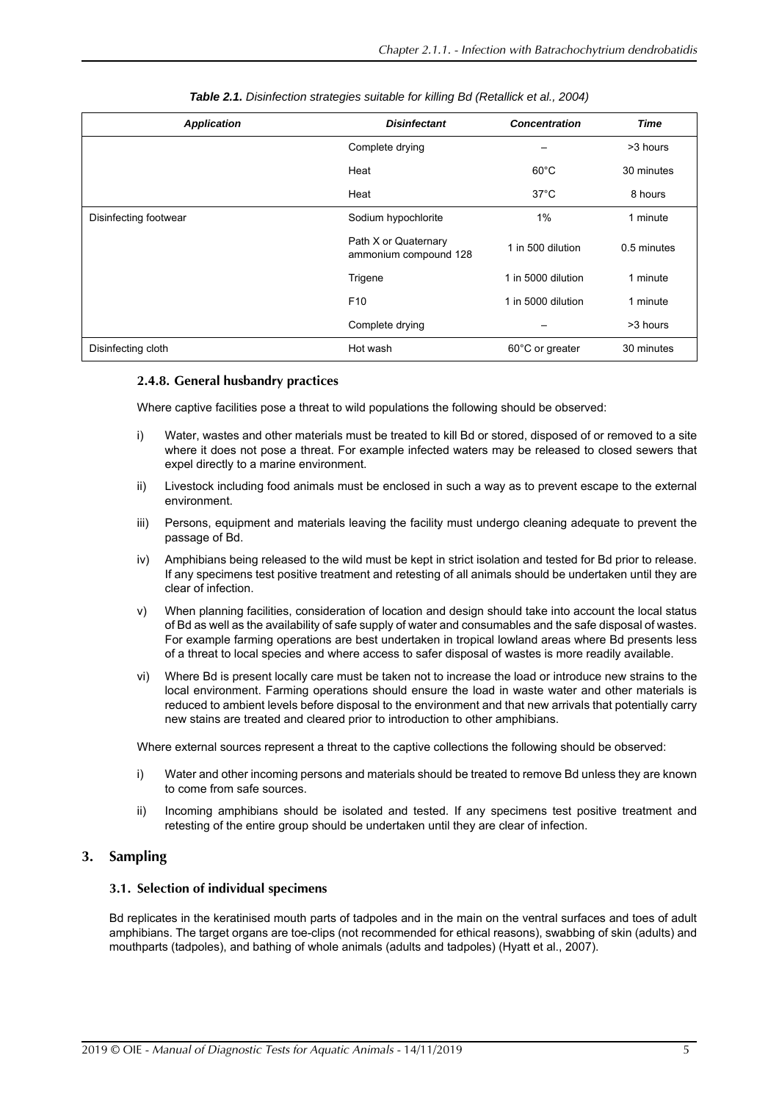| <b>Application</b>    | <b>Disinfectant</b>                           | <b>Concentration</b> | Time        |
|-----------------------|-----------------------------------------------|----------------------|-------------|
|                       | Complete drying                               |                      | >3 hours    |
|                       | Heat                                          | $60^{\circ}$ C       | 30 minutes  |
|                       | Heat                                          | $37^{\circ}$ C       | 8 hours     |
| Disinfecting footwear | Sodium hypochlorite                           | $1\%$                | 1 minute    |
|                       | Path X or Quaternary<br>ammonium compound 128 | 1 in 500 dilution    | 0.5 minutes |
|                       | Trigene                                       | 1 in 5000 dilution   | 1 minute    |
|                       | F <sub>10</sub>                               | 1 in 5000 dilution   | 1 minute    |
|                       | Complete drying                               |                      | >3 hours    |
| Disinfecting cloth    | Hot wash                                      | 60°C or greater      | 30 minutes  |

## *Table 2.1. Disinfection strategies suitable for killing Bd (Retallick et al., 2004)*

## **2.4.8. General husbandry practices**

Where captive facilities pose a threat to wild populations the following should be observed:

- i) Water, wastes and other materials must be treated to kill Bd or stored, disposed of or removed to a site where it does not pose a threat. For example infected waters may be released to closed sewers that expel directly to a marine environment.
- ii) Livestock including food animals must be enclosed in such a way as to prevent escape to the external environment.
- iii) Persons, equipment and materials leaving the facility must undergo cleaning adequate to prevent the passage of Bd.
- iv) Amphibians being released to the wild must be kept in strict isolation and tested for Bd prior to release. If any specimens test positive treatment and retesting of all animals should be undertaken until they are clear of infection.
- v) When planning facilities, consideration of location and design should take into account the local status of Bd as well as the availability of safe supply of water and consumables and the safe disposal of wastes. For example farming operations are best undertaken in tropical lowland areas where Bd presents less of a threat to local species and where access to safer disposal of wastes is more readily available.
- vi) Where Bd is present locally care must be taken not to increase the load or introduce new strains to the local environment. Farming operations should ensure the load in waste water and other materials is reduced to ambient levels before disposal to the environment and that new arrivals that potentially carry new stains are treated and cleared prior to introduction to other amphibians.

Where external sources represent a threat to the captive collections the following should be observed:

- i) Water and other incoming persons and materials should be treated to remove Bd unless they are known to come from safe sources.
- ii) Incoming amphibians should be isolated and tested. If any specimens test positive treatment and retesting of the entire group should be undertaken until they are clear of infection.

## **3. Sampling**

## **3.1. Selection of individual specimens**

Bd replicates in the keratinised mouth parts of tadpoles and in the main on the ventral surfaces and toes of adult amphibians. The target organs are toe-clips (not recommended for ethical reasons), swabbing of skin (adults) and mouthparts (tadpoles), and bathing of whole animals (adults and tadpoles) [\(Hyatt et al., 2007](#page-20-0)).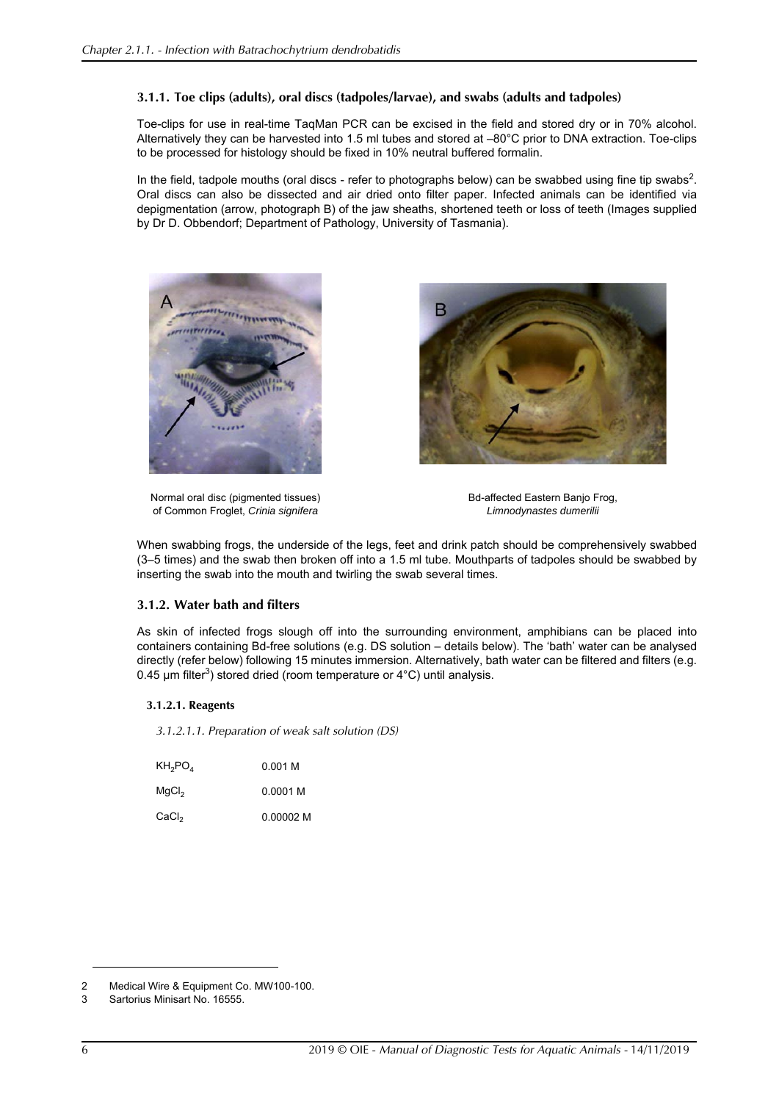## **3.1.1. Toe clips (adults), oral discs (tadpoles/larvae), and swabs (adults and tadpoles)**

Toe-clips for use in real-time TaqMan PCR can be excised in the field and stored dry or in 70% alcohol. Alternatively they can be harvested into 1.5 ml tubes and stored at –80°C prior to DNA extraction. Toe-clips to be processed for histology should be fixed in 10% neutral buffered formalin.

In the field, tadpole mouths (oral discs - refer to photographs below) can be swabbed using fine tip swabs<sup>2</sup>. Oral discs can also be dissected and air dried onto filter paper. Infected animals can be identified via depigmentation (arrow, photograph B) of the jaw sheaths, shortened teeth or loss of teeth (Images supplied by Dr D. Obbendorf; Department of Pathology, University of Tasmania).





Normal oral disc (pigmented tissues) of Common Froglet, *Crinia signifera*

Bd-affected Eastern Banjo Frog, *Limnodynastes dumerilii*

When swabbing frogs, the underside of the legs, feet and drink patch should be comprehensively swabbed (3–5 times) and the swab then broken off into a 1.5 ml tube. Mouthparts of tadpoles should be swabbed by inserting the swab into the mouth and twirling the swab several times.

## <span id="page-5-0"></span>**3.1.2. Water bath and filters**

As skin of infected frogs slough off into the surrounding environment, amphibians can be placed into containers containing Bd-free solutions (e.g. DS solution – details below). The 'bath' water can be analysed directly (refer below) following 15 minutes immersion. Alternatively, bath water can be filtered and filters (e.g. 0.45 µm filter<sup>3</sup>) stored dried (room temperature or 4°C) until analysis.

## **3.1.2.1. Reagents**

*3.1.2.1.1. Preparation of weak salt solution (DS)*

| $KH_2PO_4$        | 0.001 M   |
|-------------------|-----------|
| MgCl <sub>2</sub> | 0.0001 M  |
| CaCl <sub>2</sub> | 0.00002 M |

<sup>2</sup> Medical Wire & Equipment Co. MW100-100.

<sup>3</sup> Sartorius Minisart No. 16555.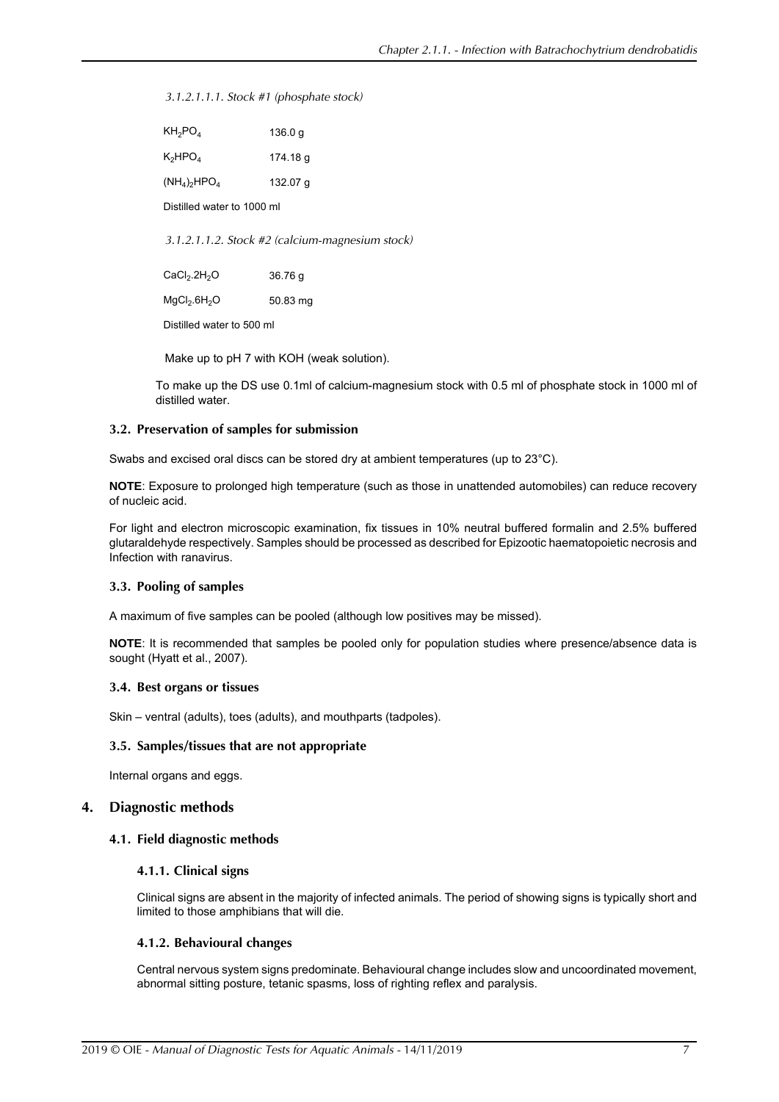*3.1.2.1.1.1. Stock #1 (phosphate stock)*

| $\mathsf{KH}_{2}\mathsf{PO}_{4}$ | 136.0 g  |
|----------------------------------|----------|
| $\mathsf{K_2} \mathsf{HPO_4}$    | 174.18 g |
| $(NH_4)_2HPO_4$                  | 132.07 g |

Distilled water to 1000 ml

*3.1.2.1.1.2. Stock #2 (calcium-magnesium stock)*

 $CaCl<sub>2</sub>.2H<sub>2</sub>O$  36.76 g  $MgCl<sub>2</sub>.6H<sub>2</sub>O$  50.83 mg

Distilled water to 500 ml

Make up to pH 7 with KOH (weak solution).

To make up the DS use 0.1ml of calcium-magnesium stock with 0.5 ml of phosphate stock in 1000 ml of distilled water.

#### **3.2. Preservation of samples for submission**

Swabs and excised oral discs can be stored dry at ambient temperatures (up to 23°C).

**NOTE**: Exposure to prolonged high temperature (such as those in unattended automobiles) can reduce recovery of nucleic acid.

For light and electron microscopic examination, fix tissues in 10% neutral buffered formalin and 2.5% buffered glutaraldehyde respectively. Samples should be processed as described for Epizootic haematopoietic necrosis and Infection with ranavirus.

#### **3.3. Pooling of samples**

A maximum of five samples can be pooled (although low positives may be missed).

**NOTE**: It is recommended that samples be pooled only for population studies where presence/absence data is sought [\(Hyatt et al., 2007](#page-20-0)).

#### **3.4. Best organs or tissues**

Skin – ventral (adults), toes (adults), and mouthparts (tadpoles).

#### **3.5. Samples/tissues that are not appropriate**

Internal organs and eggs.

## **4. Diagnostic methods**

#### **4.1. Field diagnostic methods**

### **4.1.1. Clinical signs**

Clinical signs are absent in the majority of infected animals. The period of showing signs is typically short and limited to those amphibians that will die.

#### **4.1.2. Behavioural changes**

Central nervous system signs predominate. Behavioural change includes slow and uncoordinated movement, abnormal sitting posture, tetanic spasms, loss of righting reflex and paralysis.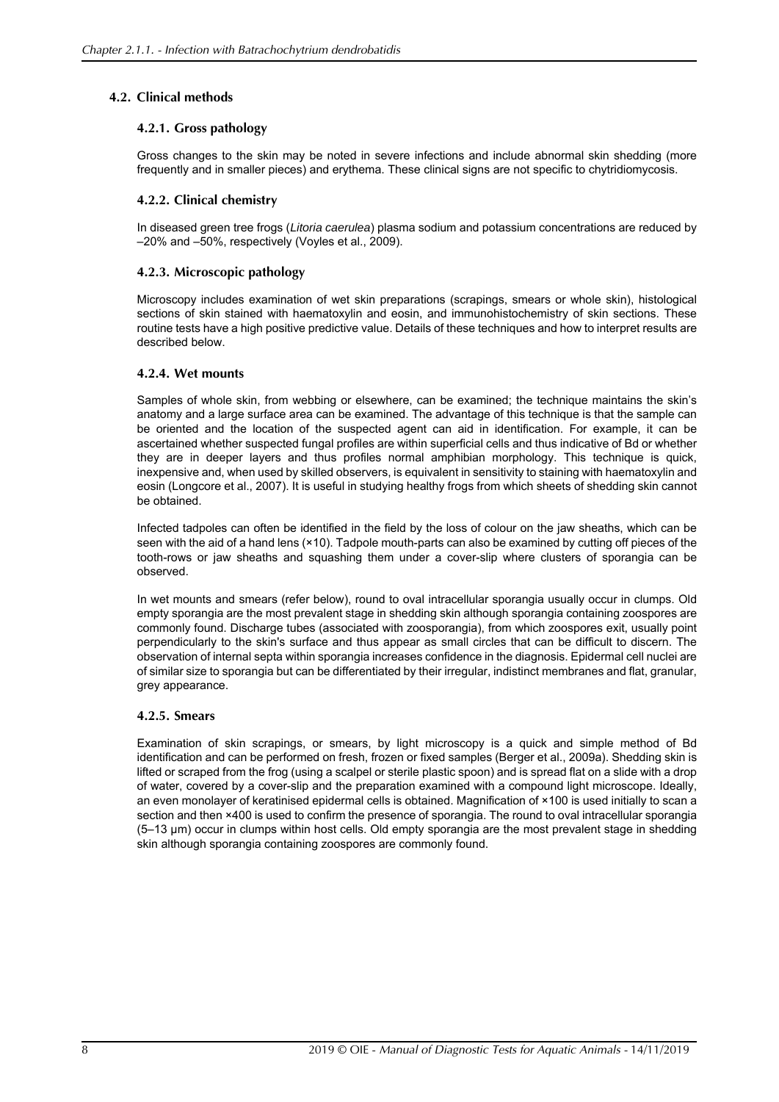## **4.2. Clinical methods**

## **4.2.1. Gross pathology**

Gross changes to the skin may be noted in severe infections and include abnormal skin shedding (more frequently and in smaller pieces) and erythema. These clinical signs are not specific to chytridiomycosis.

## **4.2.2. Clinical chemistry**

In diseased green tree frogs (*Litoria caerulea*) plasma sodium and potassium concentrations are reduced by –20% and –50%, respectively ([Voyles et al., 2009\)](#page-21-1).

## **4.2.3. Microscopic pathology**

Microscopy includes examination of wet skin preparations (scrapings, smears or whole skin), histological sections of skin stained with haematoxylin and eosin, and immunohistochemistry of skin sections. These routine tests have a high positive predictive value. Details of these techniques and how to interpret results are described below.

## **4.2.4. Wet mounts**

Samples of whole skin, from webbing or elsewhere, can be examined; the technique maintains the skin's anatomy and a large surface area can be examined. The advantage of this technique is that the sample can be oriented and the location of the suspected agent can aid in identification. For example, it can be ascertained whether suspected fungal profiles are within superficial cells and thus indicative of Bd or whether they are in deeper layers and thus profiles normal amphibian morphology. This technique is quick, inexpensive and, when used by skilled observers, is equivalent in sensitivity to staining with haematoxylin and eosin ([Longcore et al., 2007\)](#page-20-17). It is useful in studying healthy frogs from which sheets of shedding skin cannot be obtained.

Infected tadpoles can often be identified in the field by the loss of colour on the jaw sheaths, which can be seen with the aid of a hand lens (×10). Tadpole mouth-parts can also be examined by cutting off pieces of the tooth-rows or jaw sheaths and squashing them under a cover-slip where clusters of sporangia can be observed.

In wet mounts and smears (refer below), round to oval intracellular sporangia usually occur in clumps. Old empty sporangia are the most prevalent stage in shedding skin although sporangia containing zoospores are commonly found. Discharge tubes (associated with zoosporangia), from which zoospores exit, usually point perpendicularly to the skin's surface and thus appear as small circles that can be difficult to discern. The observation of internal septa within sporangia increases confidence in the diagnosis. Epidermal cell nuclei are of similar size to sporangia but can be differentiated by their irregular, indistinct membranes and flat, granular, grey appearance.

## **4.2.5. Smears**

Examination of skin scrapings, or smears, by light microscopy is a quick and simple method of Bd identification and can be performed on fresh, frozen or fixed samples ([Berger et al., 2009a](#page-19-11)). Shedding skin is lifted or scraped from the frog (using a scalpel or sterile plastic spoon) and is spread flat on a slide with a drop of water, covered by a cover-slip and the preparation examined with a compound light microscope. Ideally, an even monolayer of keratinised epidermal cells is obtained. Magnification of ×100 is used initially to scan a section and then ×400 is used to confirm the presence of sporangia. The round to oval intracellular sporangia (5‒13 µm) occur in clumps within host cells. Old empty sporangia are the most prevalent stage in shedding skin although sporangia containing zoospores are commonly found.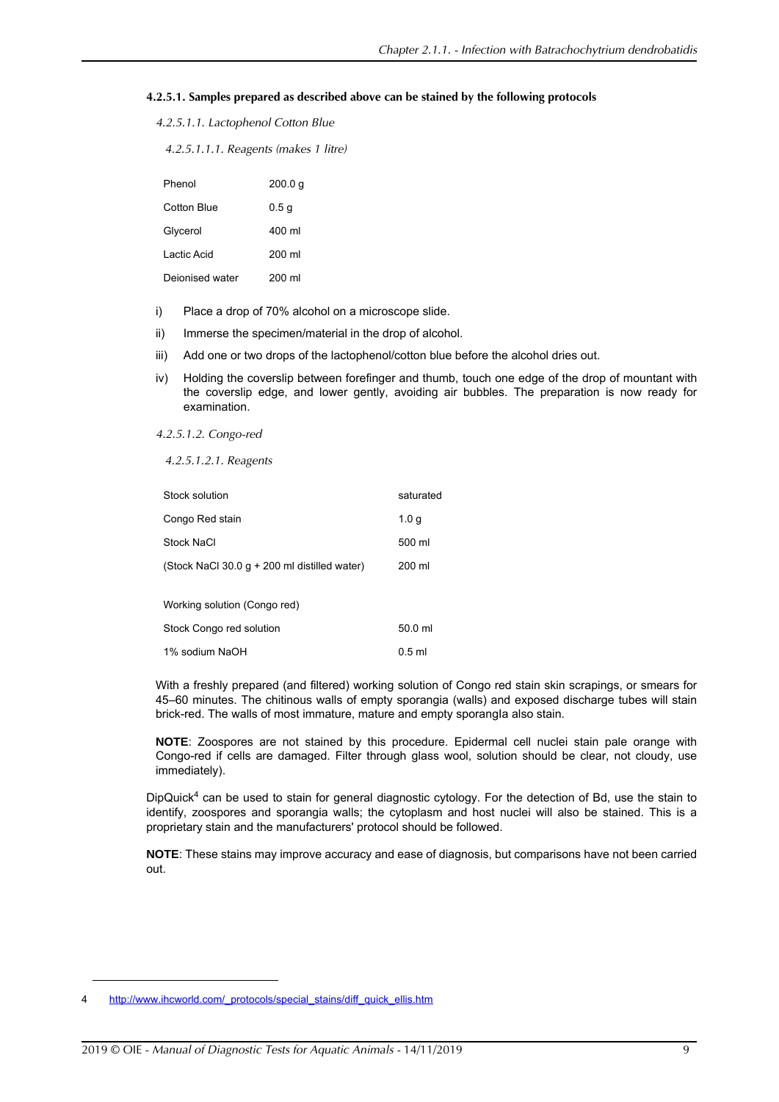#### **4.2.5.1. Samples prepared as described above can be stained by the following protocols**

| 4.2.5.1.1. Lactophenol Cotton Blue |  |
|------------------------------------|--|
|------------------------------------|--|

*4.2.5.1.1.1. Reagents (makes 1 litre)*

| Phenol          | 200.0 g          |
|-----------------|------------------|
| Cotton Blue     | 0.5 <sub>g</sub> |
| Glycerol        | 400 ml           |
| I actic Acid    | 200 ml           |
| Deionised water | 200 ml           |

- i) Place a drop of 70% alcohol on a microscope slide.
- ii) Immerse the specimen/material in the drop of alcohol.
- iii) Add one or two drops of the lactophenol/cotton blue before the alcohol dries out.
- iv) Holding the coverslip between forefinger and thumb, touch one edge of the drop of mountant with the coverslip edge, and lower gently, avoiding air bubbles. The preparation is now ready for examination.
- *4.2.5.1.2. Congo-red*

*4.2.5.1.2.1. Reagents*

| Stock solution                               | saturated        |
|----------------------------------------------|------------------|
| Congo Red stain                              | 1.0 <sub>q</sub> |
| Stock NaCl                                   | 500 ml           |
| (Stock NaCl 30.0 g + 200 ml distilled water) | 200 ml           |
| Working solution (Congo red)                 |                  |
| Stock Congo red solution                     | 50.0 ml          |
| 1% sodium NaOH                               | $0.5$ ml         |

With a freshly prepared (and filtered) working solution of Congo red stain skin scrapings, or smears for 45–60 minutes. The chitinous walls of empty sporangia (walls) and exposed discharge tubes will stain brick-red. The walls of most immature, mature and empty sporangla also stain.

**NOTE**: Zoospores are not stained by this procedure. Epidermal cell nuclei stain pale orange with Congo-red if cells are damaged. Filter through glass wool, solution should be clear, not cloudy, use immediately).

DipQuick<sup>4</sup> can be used to stain for general diagnostic cytology. For the detection of Bd, use the stain to identify, zoospores and sporangia walls; the cytoplasm and host nuclei will also be stained. This is a proprietary stain and the manufacturers' protocol should be followed.

**NOTE**: These stains may improve accuracy and ease of diagnosis, but comparisons have not been carried out.

[http://www.ihcworld.com/\\_protocols/special\\_stains/diff\\_quick\\_ellis.htm](http://www.ihcworld.com/_protocols/special_stains/diff_quick_ellis.htm)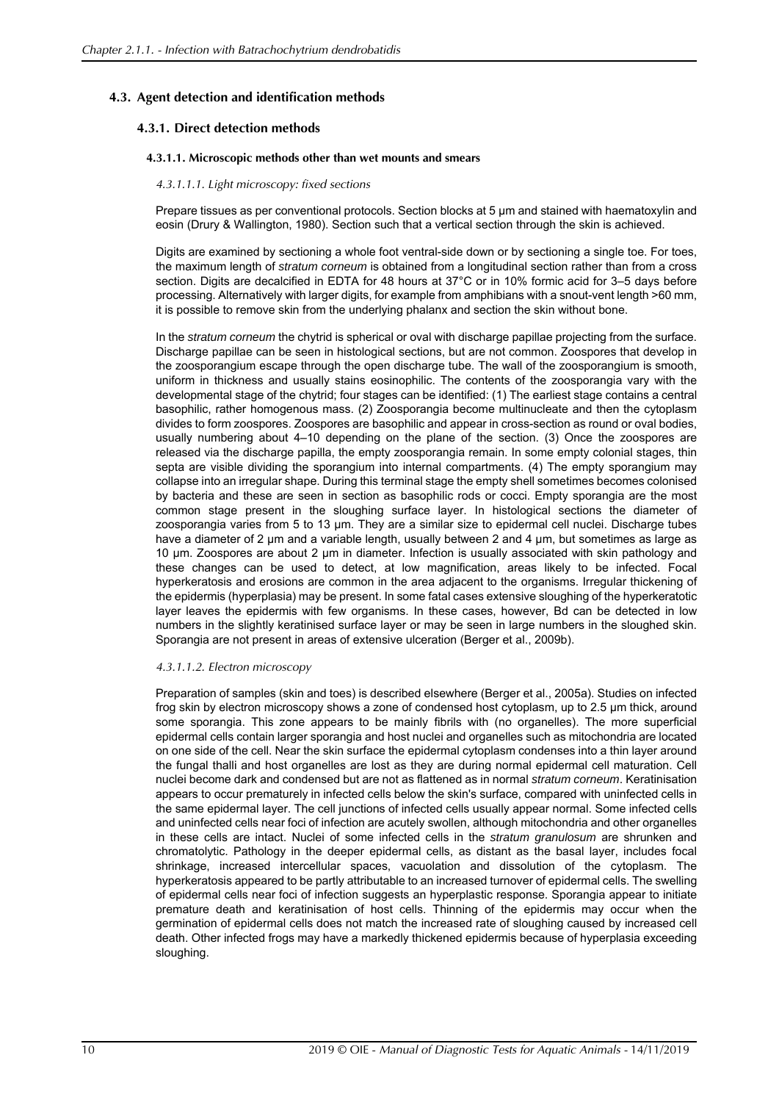## <span id="page-9-0"></span>**4.3. Agent detection and identification methods**

## **4.3.1. Direct detection methods**

#### **4.3.1.1. Microscopic methods other than wet mounts and smears**

#### *4.3.1.1.1. Light microscopy: fixed sections*

Prepare tissues as per conventional protocols. Section blocks at 5  $\mu$ m and stained with haematoxylin and eosin [\(Drury & Wallington, 1980\)](#page-19-12). Section such that a vertical section through the skin is achieved.

Digits are examined by sectioning a whole foot ventral-side down or by sectioning a single toe. For toes, the maximum length of *stratum corneum* is obtained from a longitudinal section rather than from a cross section. Digits are decalcified in EDTA for 48 hours at 37°C or in 10% formic acid for 3–5 days before processing. Alternatively with larger digits, for example from amphibians with a snout-vent length >60 mm, it is possible to remove skin from the underlying phalanx and section the skin without bone.

In the *stratum corneum* the chytrid is spherical or oval with discharge papillae projecting from the surface. Discharge papillae can be seen in histological sections, but are not common. Zoospores that develop in the zoosporangium escape through the open discharge tube. The wall of the zoosporangium is smooth, uniform in thickness and usually stains eosinophilic. The contents of the zoosporangia vary with the developmental stage of the chytrid; four stages can be identified: (1) The earliest stage contains a central basophilic, rather homogenous mass. (2) Zoosporangia become multinucleate and then the cytoplasm divides to form zoospores. Zoospores are basophilic and appear in cross-section as round or oval bodies, usually numbering about 4–10 depending on the plane of the section. (3) Once the zoospores are released via the discharge papilla, the empty zoosporangia remain. In some empty colonial stages, thin septa are visible dividing the sporangium into internal compartments. (4) The empty sporangium may collapse into an irregular shape. During this terminal stage the empty shell sometimes becomes colonised by bacteria and these are seen in section as basophilic rods or cocci. Empty sporangia are the most common stage present in the sloughing surface layer. In histological sections the diameter of zoosporangia varies from 5 to 13 µm. They are a similar size to epidermal cell nuclei. Discharge tubes have a diameter of 2 µm and a variable length, usually between 2 and 4 µm, but sometimes as large as 10 µm. Zoospores are about 2 µm in diameter. Infection is usually associated with skin pathology and these changes can be used to detect, at low magnification, areas likely to be infected. Focal hyperkeratosis and erosions are common in the area adjacent to the organisms. Irregular thickening of the epidermis (hyperplasia) may be present. In some fatal cases extensive sloughing of the hyperkeratotic layer leaves the epidermis with few organisms. In these cases, however, Bd can be detected in low numbers in the slightly keratinised surface layer or may be seen in large numbers in the sloughed skin. Sporangia are not present in areas of extensive ulceration ([Berger et al., 2009b\)](#page-19-13).

#### *4.3.1.1.2. Electron microscopy*

Preparation of samples (skin and toes) is described elsewhere ([Berger et al., 2005a\)](#page-19-3). Studies on infected frog skin by electron microscopy shows a zone of condensed host cytoplasm, up to 2.5 µm thick, around some sporangia. This zone appears to be mainly fibrils with (no organelles). The more superficial epidermal cells contain larger sporangia and host nuclei and organelles such as mitochondria are located on one side of the cell. Near the skin surface the epidermal cytoplasm condenses into a thin layer around the fungal thalli and host organelles are lost as they are during normal epidermal cell maturation. Cell nuclei become dark and condensed but are not as flattened as in normal *stratum corneum*. Keratinisation appears to occur prematurely in infected cells below the skin's surface, compared with uninfected cells in the same epidermal layer. The cell junctions of infected cells usually appear normal. Some infected cells and uninfected cells near foci of infection are acutely swollen, although mitochondria and other organelles in these cells are intact. Nuclei of some infected cells in the *stratum granulosum* are shrunken and chromatolytic. Pathology in the deeper epidermal cells, as distant as the basal layer, includes focal shrinkage, increased intercellular spaces, vacuolation and dissolution of the cytoplasm. The hyperkeratosis appeared to be partly attributable to an increased turnover of epidermal cells. The swelling of epidermal cells near foci of infection suggests an hyperplastic response. Sporangia appear to initiate premature death and keratinisation of host cells. Thinning of the epidermis may occur when the germination of epidermal cells does not match the increased rate of sloughing caused by increased cell death. Other infected frogs may have a markedly thickened epidermis because of hyperplasia exceeding sloughing.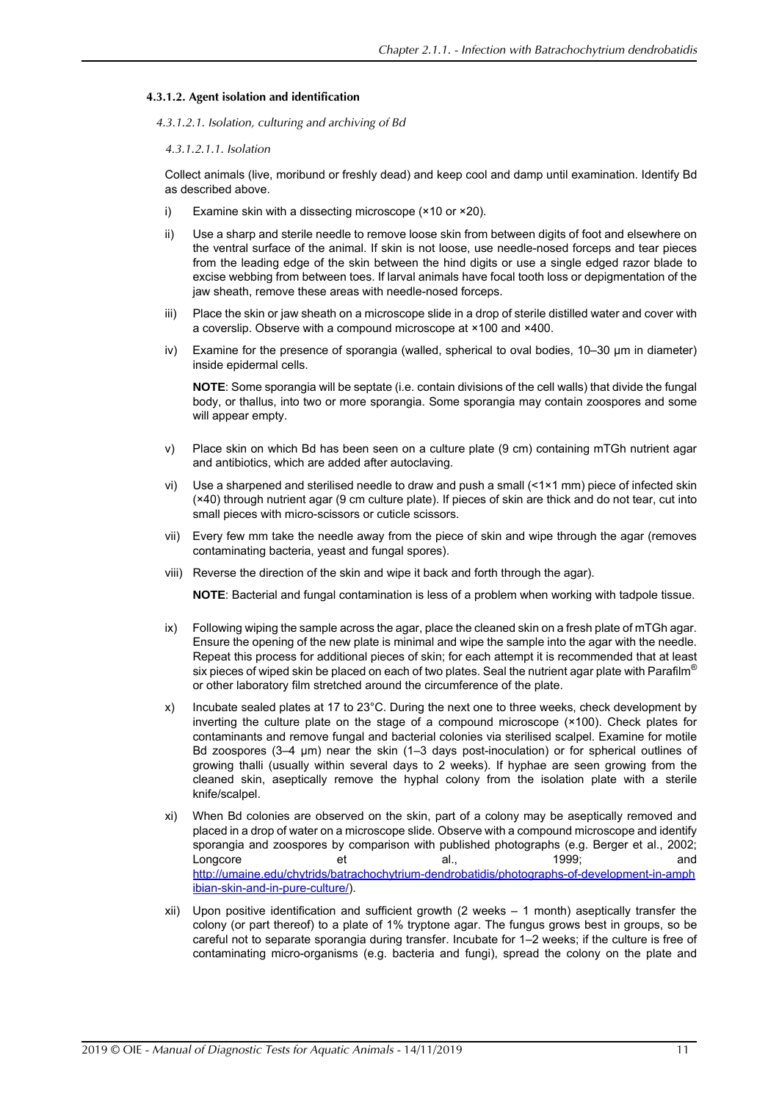### **4.3.1.2. Agent isolation and identification**

*4.3.1.2.1. Isolation, culturing and archiving of Bd*

#### *4.3.1.2.1.1. Isolation*

Collect animals (live, moribund or freshly dead) and keep cool and damp until examination. Identify Bd as described above.

- i) Examine skin with a dissecting microscope (×10 or ×20).
- ii) Use a sharp and sterile needle to remove loose skin from between digits of foot and elsewhere on the ventral surface of the animal. If skin is not loose, use needle-nosed forceps and tear pieces from the leading edge of the skin between the hind digits or use a single edged razor blade to excise webbing from between toes. If larval animals have focal tooth loss or depigmentation of the jaw sheath, remove these areas with needle-nosed forceps.
- iii) Place the skin or jaw sheath on a microscope slide in a drop of sterile distilled water and cover with a coverslip. Observe with a compound microscope at ×100 and ×400.
- iv) Examine for the presence of sporangia (walled, spherical to oval bodies, 10–30 µm in diameter) inside epidermal cells.

**NOTE**: Some sporangia will be septate (i.e. contain divisions of the cell walls) that divide the fungal body, or thallus, into two or more sporangia. Some sporangia may contain zoospores and some will appear empty.

- v) Place skin on which Bd has been seen on a culture plate (9 cm) containing mTGh nutrient agar and antibiotics, which are added after autoclaving.
- vi) Use a sharpened and sterilised needle to draw and push a small (<1×1 mm) piece of infected skin (×40) through nutrient agar (9 cm culture plate). If pieces of skin are thick and do not tear, cut into small pieces with micro-scissors or cuticle scissors.
- vii) Every few mm take the needle away from the piece of skin and wipe through the agar (removes contaminating bacteria, yeast and fungal spores).
- viii) Reverse the direction of the skin and wipe it back and forth through the agar).

**NOTE**: Bacterial and fungal contamination is less of a problem when working with tadpole tissue.

- ix) Following wiping the sample across the agar, place the cleaned skin on a fresh plate of mTGh agar. Ensure the opening of the new plate is minimal and wipe the sample into the agar with the needle. Repeat this process for additional pieces of skin; for each attempt it is recommended that at least six pieces of wiped skin be placed on each of two plates. Seal the nutrient agar plate with Parafilm<sup>®</sup> or other laboratory film stretched around the circumference of the plate.
- x) Incubate sealed plates at 17 to 23°C. During the next one to three weeks, check development by inverting the culture plate on the stage of a compound microscope (×100). Check plates for contaminants and remove fungal and bacterial colonies via sterilised scalpel. Examine for motile Bd zoospores (3-4 µm) near the skin (1-3 days post-inoculation) or for spherical outlines of growing thalli (usually within several days to 2 weeks). If hyphae are seen growing from the cleaned skin, aseptically remove the hyphal colony from the isolation plate with a sterile knife/scalpel.
- xi) When Bd colonies are observed on the skin, part of a colony may be aseptically removed and placed in a drop of water on a microscope slide. Observe with a compound microscope and identify sporangia and zoospores by comparison with published photographs (e.g. [Berger et al., 2002](#page-19-14); [Longcore et al., 1999;](#page-20-1) and [http://umaine.edu/chytrids/batrachochytrium-dendrobatidis/photographs-of-development-in-amph](http://umaine.edu/chytrids/batrachochytrium-dendrobatidis/photographs-of-development-in-amphibian-skin-and-in-pure-culture/) [ibian-skin-and-in-pure-culture/\)](http://umaine.edu/chytrids/batrachochytrium-dendrobatidis/photographs-of-development-in-amphibian-skin-and-in-pure-culture/).
- xii) Upon positive identification and sufficient growth (2 weeks 1 month) aseptically transfer the colony (or part thereof) to a plate of 1% tryptone agar. The fungus grows best in groups, so be careful not to separate sporangia during transfer. Incubate for 1–2 weeks; if the culture is free of contaminating micro-organisms (e.g. bacteria and fungi), spread the colony on the plate and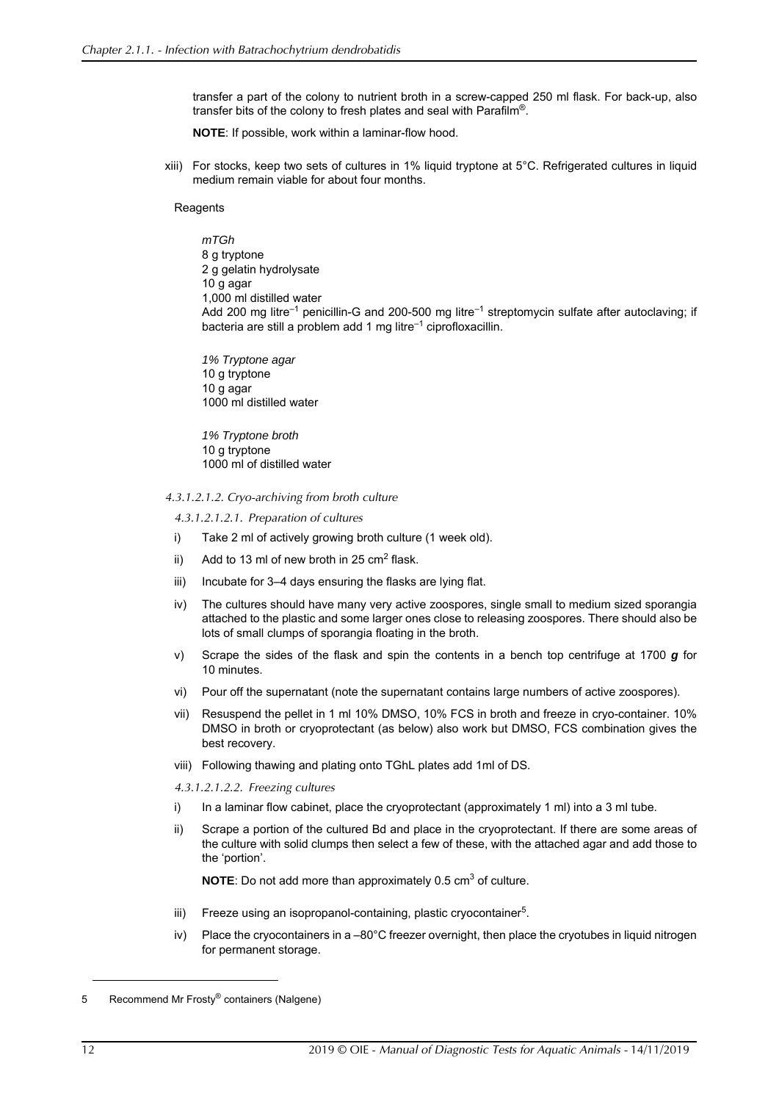transfer a part of the colony to nutrient broth in a screw-capped 250 ml flask. For back-up, also transfer bits of the colony to fresh plates and seal with Parafilm®.

**NOTE**: If possible, work within a laminar-flow hood.

xiii) For stocks, keep two sets of cultures in 1% liquid tryptone at 5°C. Refrigerated cultures in liquid medium remain viable for about four months.

**Reagents** 

*mTGh* 8 g tryptone 2 g gelatin hydrolysate 10 g agar 1,000 ml distilled water Add 200 mg litre<sup>-1</sup> penicillin-G and 200-500 mg litre<sup>-1</sup> streptomycin sulfate after autoclaving; if bacteria are still a problem add 1 mg litre $^{-1}$  ciprofloxacillin.

*1% Tryptone agar* 10 g tryptone 10 g agar 1000 ml distilled water

*1% Tryptone broth* 10 g tryptone 1000 ml of distilled water

*4.3.1.2.1.2. Cryo-archiving from broth culture*

*4.3.1.2.1.2.1. Preparation of cultures*

- i) Take 2 ml of actively growing broth culture (1 week old).
- ii) Add to 13 ml of new broth in 25 cm<sup>2</sup> flask.
- iii) Incubate for 3–4 days ensuring the flasks are lying flat.
- iv) The cultures should have many very active zoospores, single small to medium sized sporangia attached to the plastic and some larger ones close to releasing zoospores. There should also be lots of small clumps of sporangia floating in the broth.
- v) Scrape the sides of the flask and spin the contents in a bench top centrifuge at 1700 *g* for 10 minutes.
- vi) Pour off the supernatant (note the supernatant contains large numbers of active zoospores).
- vii) Resuspend the pellet in 1 ml 10% DMSO, 10% FCS in broth and freeze in cryo-container. 10% DMSO in broth or cryoprotectant (as below) also work but DMSO, FCS combination gives the best recovery.
- viii) Following thawing and plating onto TGhL plates add 1ml of DS.

*4.3.1.2.1.2.2. Freezing cultures*

- i) In a laminar flow cabinet, place the cryoprotectant (approximately 1 ml) into a 3 ml tube.
- ii) Scrape a portion of the cultured Bd and place in the cryoprotectant. If there are some areas of the culture with solid clumps then select a few of these, with the attached agar and add those to the 'portion'.

**NOTE**: Do not add more than approximately 0.5 cm<sup>3</sup> of culture.

- iii) Freeze using an isopropanol-containing, plastic cryocontainer<sup>5</sup>.
- iv) Place the cryocontainers in a –80°C freezer overnight, then place the cryotubes in liquid nitrogen for permanent storage.

<sup>5</sup> Recommend Mr Frosty® containers (Nalgene)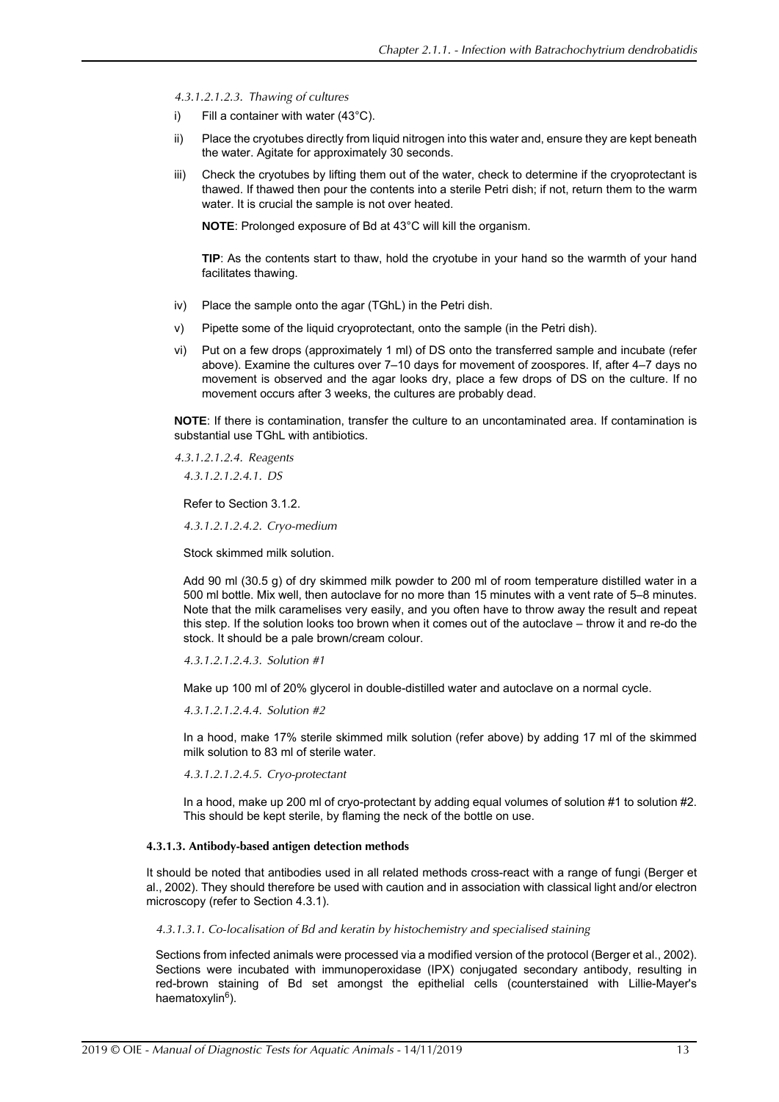*4.3.1.2.1.2.3. Thawing of cultures*

- i) Fill a container with water (43°C).
- ii) Place the cryotubes directly from liquid nitrogen into this water and, ensure they are kept beneath the water. Agitate for approximately 30 seconds.
- iii) Check the cryotubes by lifting them out of the water, check to determine if the cryoprotectant is thawed. If thawed then pour the contents into a sterile Petri dish; if not, return them to the warm water. It is crucial the sample is not over heated.

**NOTE**: Prolonged exposure of Bd at 43°C will kill the organism.

**TIP**: As the contents start to thaw, hold the cryotube in your hand so the warmth of your hand facilitates thawing.

- iv) Place the sample onto the agar (TGhL) in the Petri dish.
- v) Pipette some of the liquid cryoprotectant, onto the sample (in the Petri dish).
- vi) Put on a few drops (approximately 1 ml) of DS onto the transferred sample and incubate (refer above). Examine the cultures over 7–10 days for movement of zoospores. If, after 4–7 days no movement is observed and the agar looks dry, place a few drops of DS on the culture. If no movement occurs after 3 weeks, the cultures are probably dead.

**NOTE**: If there is contamination, transfer the culture to an uncontaminated area. If contamination is substantial use TGhL with antibiotics.

*4.3.1.2.1.2.4. Reagents 4.3.1.2.1.2.4.1. DS*

Refer to Section [3.1.2](#page-5-0).

*4.3.1.2.1.2.4.2. Cryo-medium*

Stock skimmed milk solution.

Add 90 ml (30.5 g) of dry skimmed milk powder to 200 ml of room temperature distilled water in a 500 ml bottle. Mix well, then autoclave for no more than 15 minutes with a vent rate of 5–8 minutes. Note that the milk caramelises very easily, and you often have to throw away the result and repeat this step. If the solution looks too brown when it comes out of the autoclave – throw it and re-do the stock. It should be a pale brown/cream colour.

*4.3.1.2.1.2.4.3. Solution #1*

Make up 100 ml of 20% glycerol in double-distilled water and autoclave on a normal cycle.

*4.3.1.2.1.2.4.4. Solution #2*

In a hood, make 17% sterile skimmed milk solution (refer above) by adding 17 ml of the skimmed milk solution to 83 ml of sterile water.

*4.3.1.2.1.2.4.5. Cryo-protectant*

In a hood, make up 200 ml of cryo-protectant by adding equal volumes of solution #1 to solution #2. This should be kept sterile, by flaming the neck of the bottle on use.

#### **4.3.1.3. Antibody-based antigen detection methods**

It should be noted that antibodies used in all related methods cross-react with a range of fungi ([Berger et](#page-19-14) [al., 2002](#page-19-14)). They should therefore be used with caution and in association with classical light and/or electron microscopy (refer to Section [4.3.1](#page-9-0)).

*4.3.1.3.1. Co-localisation of Bd and keratin by histochemistry and specialised staining*

Sections from infected animals were processed via a modified version of the protocol ([Berger et al., 2002](#page-19-14)). Sections were incubated with immunoperoxidase (IPX) conjugated secondary antibody, resulting in red-brown staining of Bd set amongst the epithelial cells (counterstained with Lillie-Mayer's haematoxylin<sup>6</sup>).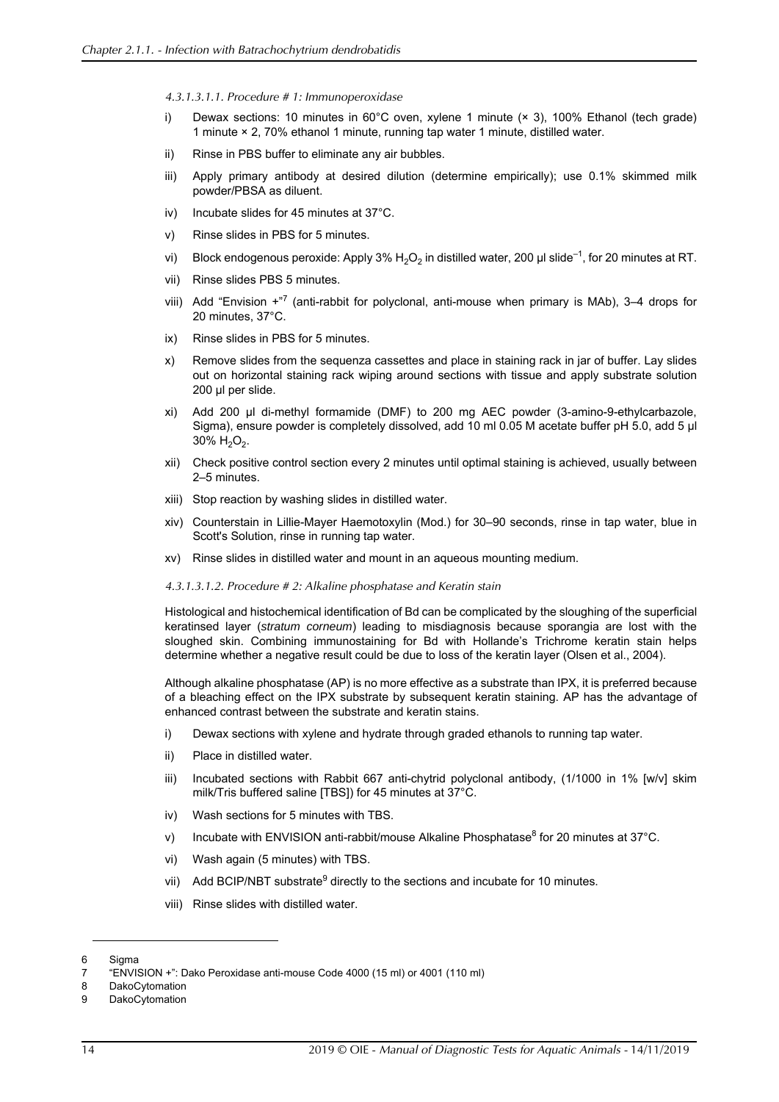*4.3.1.3.1.1. Procedure # 1: Immunoperoxidase*

- i) Dewax sections: 10 minutes in 60°C oven, xylene 1 minute (× 3), 100% Ethanol (tech grade) 1 minute × 2, 70% ethanol 1 minute, running tap water 1 minute, distilled water.
- ii) Rinse in PBS buffer to eliminate any air bubbles.
- iii) Apply primary antibody at desired dilution (determine empirically); use 0.1% skimmed milk powder/PBSA as diluent.
- iv) Incubate slides for 45 minutes at 37°C.
- v) Rinse slides in PBS for 5 minutes.
- vi) Block endogenous peroxide: Apply 3%  $H_2O_2$  in distilled water, 200 µl slide<sup>-1</sup>, for 20 minutes at RT.
- vii) Rinse slides PBS 5 minutes.
- viii) Add "Envision +"<sup>7</sup> (anti-rabbit for polyclonal, anti-mouse when primary is MAb), 3–4 drops for 20 minutes, 37°C.
- ix) Rinse slides in PBS for 5 minutes.
- x) Remove slides from the sequenza cassettes and place in staining rack in jar of buffer. Lay slides out on horizontal staining rack wiping around sections with tissue and apply substrate solution 200 µl per slide.
- xi) Add 200 µl di-methyl formamide (DMF) to 200 mg AEC powder (3-amino-9-ethylcarbazole, Sigma), ensure powder is completely dissolved, add 10 ml 0.05 M acetate buffer pH 5.0, add 5 µl  $30\%$  H<sub>2</sub>O<sub>2</sub>.
- xii) Check positive control section every 2 minutes until optimal staining is achieved, usually between 2–5 minutes.
- xiii) Stop reaction by washing slides in distilled water.
- xiv) Counterstain in Lillie-Mayer Haemotoxylin (Mod.) for 30–90 seconds, rinse in tap water, blue in Scott's Solution, rinse in running tap water.
- xv) Rinse slides in distilled water and mount in an aqueous mounting medium.

#### *4.3.1.3.1.2. Procedure # 2: Alkaline phosphatase and Keratin stain*

Histological and histochemical identification of Bd can be complicated by the sloughing of the superficial keratinsed layer (*stratum corneum*) leading to misdiagnosis because sporangia are lost with the sloughed skin. Combining immunostaining for Bd with Hollande's Trichrome keratin stain helps determine whether a negative result could be due to loss of the keratin layer [\(Olsen et al., 2004\)](#page-20-18).

Although alkaline phosphatase (AP) is no more effective as a substrate than IPX, it is preferred because of a bleaching effect on the IPX substrate by subsequent keratin staining. AP has the advantage of enhanced contrast between the substrate and keratin stains.

- i) Dewax sections with xylene and hydrate through graded ethanols to running tap water.
- ii) Place in distilled water.
- iii) Incubated sections with Rabbit 667 anti-chytrid polyclonal antibody, (1/1000 in 1% [w/v] skim milk/Tris buffered saline [TBS]) for 45 minutes at 37°C.
- iv) Wash sections for 5 minutes with TBS.
- v) Incubate with ENVISION anti-rabbit/mouse Alkaline Phosphatase<sup>8</sup> for 20 minutes at 37°C.
- vi) Wash again (5 minutes) with TBS.
- vii) Add BCIP/NBT substrate<sup>9</sup> directly to the sections and incubate for 10 minutes.
- viii) Rinse slides with distilled water.

<sup>6</sup> Sigma

<sup>7 &</sup>quot;ENVISION +": Dako Peroxidase anti-mouse Code 4000 (15 ml) or 4001 (110 ml)

<sup>8</sup> DakoCytomation

<sup>9</sup> DakoCytomation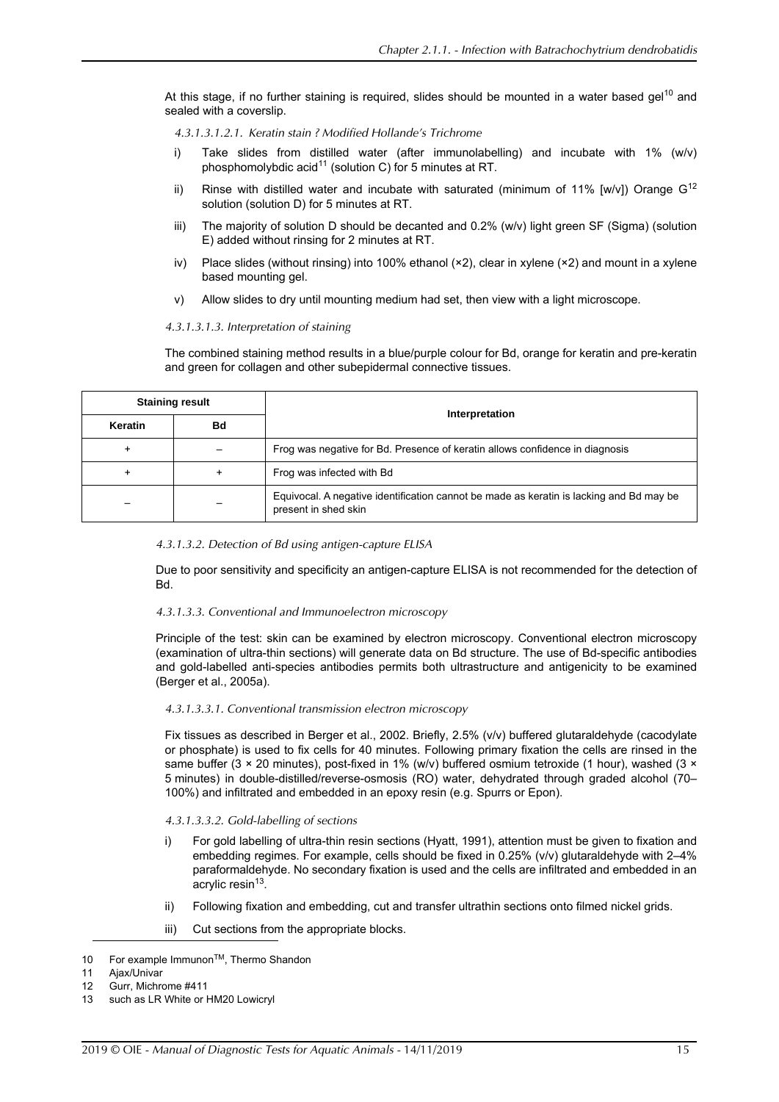At this stage, if no further staining is required, slides should be mounted in a water based gel<sup>10</sup> and sealed with a coverslip.

- *4.3.1.3.1.2.1. Keratin stain ? Modified Hollande's Trichrome*
- i) Take slides from distilled water (after immunolabelling) and incubate with 1% (w/v) phosphomolybdic acid<sup>11</sup> (solution C) for 5 minutes at RT.
- ii) Rinse with distilled water and incubate with saturated (minimum of 11% [w/v]) Orange  $G^{12}$ solution (solution D) for 5 minutes at RT.
- iii) The majority of solution D should be decanted and 0.2% (w/v) light green SF (Sigma) (solution E) added without rinsing for 2 minutes at RT.
- iv) Place slides (without rinsing) into 100% ethanol (×2), clear in xylene (×2) and mount in a xylene based mounting gel.
- v) Allow slides to dry until mounting medium had set, then view with a light microscope.

#### *4.3.1.3.1.3. Interpretation of staining*

The combined staining method results in a blue/purple colour for Bd, orange for keratin and pre-keratin and green for collagen and other subepidermal connective tissues.

| <b>Staining result</b> |           | Interpretation                                                                                                  |  |
|------------------------|-----------|-----------------------------------------------------------------------------------------------------------------|--|
| Keratin                | Bd        |                                                                                                                 |  |
|                        |           | Frog was negative for Bd. Presence of keratin allows confidence in diagnosis                                    |  |
|                        | $\ddot{}$ | Frog was infected with Bd                                                                                       |  |
|                        |           | Equivocal. A negative identification cannot be made as keratin is lacking and Bd may be<br>present in shed skin |  |

#### *4.3.1.3.2. Detection of Bd using antigen-capture ELISA*

Due to poor sensitivity and specificity an antigen-capture ELISA is not recommended for the detection of Bd.

#### *4.3.1.3.3. Conventional and Immunoelectron microscopy*

Principle of the test: skin can be examined by electron microscopy. Conventional electron microscopy (examination of ultra-thin sections) will generate data on Bd structure. The use of Bd-specific antibodies and gold-labelled anti-species antibodies permits both ultrastructure and antigenicity to be examined [\(Berger et al., 2005a\)](#page-19-3).

#### *4.3.1.3.3.1. Conventional transmission electron microscopy*

Fix tissues as described in [Berger et al., 2002](#page-19-14). Briefly, 2.5% (v/v) buffered glutaraldehyde (cacodylate or phosphate) is used to fix cells for 40 minutes. Following primary fixation the cells are rinsed in the same buffer (3 × 20 minutes), post-fixed in 1% (w/v) buffered osmium tetroxide (1 hour), washed (3 × 5 minutes) in double-distilled/reverse-osmosis (RO) water, dehydrated through graded alcohol (70– 100%) and infiltrated and embedded in an epoxy resin (e.g. Spurrs or Epon).

#### *4.3.1.3.3.2. Gold-labelling of sections*

- i) For gold labelling of ultra-thin resin sections ([Hyatt, 1991\)](#page-20-19), attention must be given to fixation and embedding regimes. For example, cells should be fixed in 0.25% (v/v) glutaraldehyde with 2–4% paraformaldehyde. No secondary fixation is used and the cells are infiltrated and embedded in an acrylic resin<sup>13</sup>.
- ii) Following fixation and embedding, cut and transfer ultrathin sections onto filmed nickel grids.
- iii) Cut sections from the appropriate blocks.

<sup>10</sup> For example ImmunonTM, Thermo Shandon

<sup>11</sup> Ajax/Univar

<sup>12</sup> Gurr, Michrome #411

<sup>13</sup> such as LR White or HM20 Lowicryl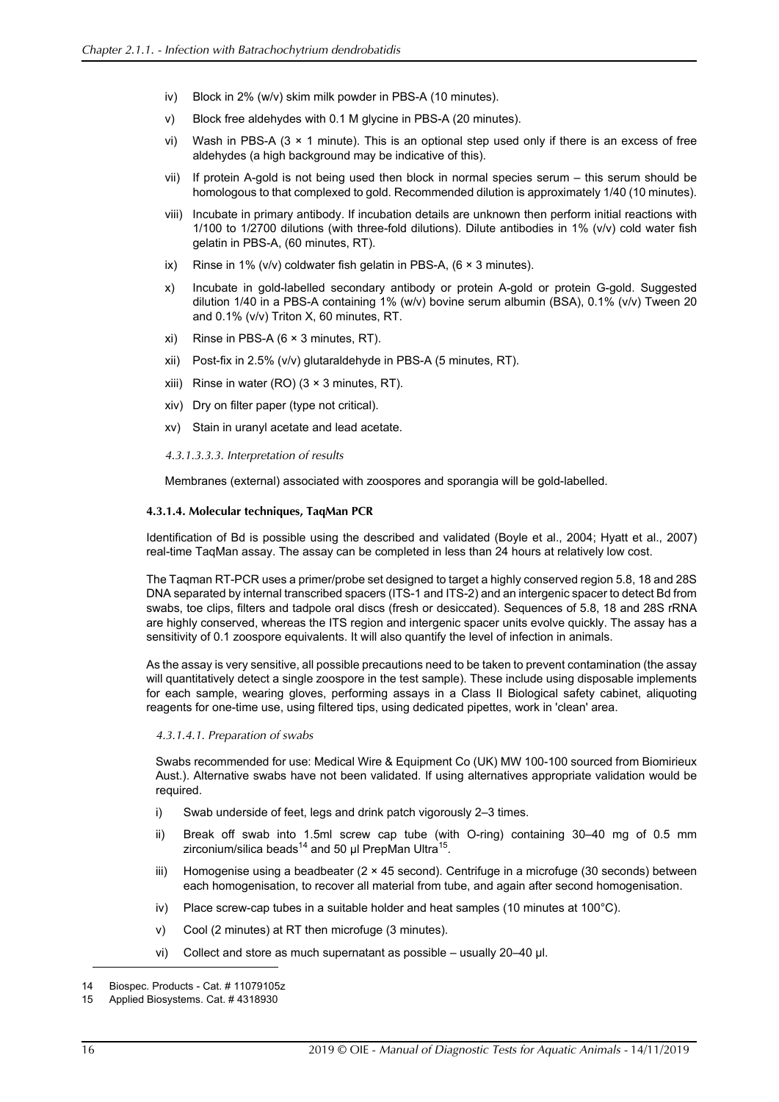- iv) Block in 2% (w/v) skim milk powder in PBS-A (10 minutes).
- v) Block free aldehydes with 0.1 M glycine in PBS-A (20 minutes).
- vi) Wash in PBS-A  $(3 \times 1)$  minute). This is an optional step used only if there is an excess of free aldehydes (a high background may be indicative of this).
- vii) If protein A-gold is not being used then block in normal species serum this serum should be homologous to that complexed to gold. Recommended dilution is approximately 1/40 (10 minutes).
- viii) Incubate in primary antibody. If incubation details are unknown then perform initial reactions with 1/100 to 1/2700 dilutions (with three-fold dilutions). Dilute antibodies in 1% (v/v) cold water fish gelatin in PBS-A, (60 minutes, RT).
- ix) Rinse in 1% ( $v/v$ ) coldwater fish gelatin in PBS-A, (6  $\times$  3 minutes).
- x) Incubate in gold-labelled secondary antibody or protein A-gold or protein G-gold. Suggested dilution 1/40 in a PBS-A containing 1% (w/v) bovine serum albumin (BSA), 0.1% (v/v) Tween 20 and 0.1% (v/v) Triton X, 60 minutes, RT.
- $xi)$  Rinse in PBS-A (6  $\times$  3 minutes, RT).
- xii) Post-fix in 2.5% (v/v) glutaraldehyde in PBS-A (5 minutes, RT).
- xiii) Rinse in water (RO) ( $3 \times 3$  minutes, RT).
- xiv) Dry on filter paper (type not critical).
- xv) Stain in uranyl acetate and lead acetate.
- *4.3.1.3.3.3. Interpretation of results*

Membranes (external) associated with zoospores and sporangia will be gold-labelled.

#### **4.3.1.4. Molecular techniques, TaqMan PCR**

Identification of Bd is possible using the described and validated [\(Boyle et al., 2004](#page-19-15); [Hyatt et al., 2007\)](#page-20-0) real-time TaqMan assay. The assay can be completed in less than 24 hours at relatively low cost.

The Taqman RT-PCR uses a primer/probe set designed to target a highly conserved region 5.8, 18 and 28S DNA separated by internal transcribed spacers (ITS-1 and ITS-2) and an intergenic spacer to detect Bd from swabs, toe clips, filters and tadpole oral discs (fresh or desiccated). Sequences of 5.8, 18 and 28S rRNA are highly conserved, whereas the ITS region and intergenic spacer units evolve quickly. The assay has a sensitivity of 0.1 zoospore equivalents. It will also quantify the level of infection in animals.

As the assay is very sensitive, all possible precautions need to be taken to prevent contamination (the assay will quantitatively detect a single zoospore in the test sample). These include using disposable implements for each sample, wearing gloves, performing assays in a Class II Biological safety cabinet, aliquoting reagents for one-time use, using filtered tips, using dedicated pipettes, work in 'clean' area.

#### *4.3.1.4.1. Preparation of swabs*

Swabs recommended for use: Medical Wire & Equipment Co (UK) MW 100-100 sourced from Biomirieux Aust.). Alternative swabs have not been validated. If using alternatives appropriate validation would be required.

- i) Swab underside of feet, legs and drink patch vigorously 2–3 times.
- ii) Break off swab into 1.5ml screw cap tube (with O-ring) containing 30–40 mg of 0.5 mm zirconium/silica beads<sup>14</sup> and 50  $\mu$ I PrepMan Ultra<sup>15</sup>.
- iii) Homogenise using a beadbeater (2 × 45 second). Centrifuge in a microfuge (30 seconds) between each homogenisation, to recover all material from tube, and again after second homogenisation.
- iv) Place screw-cap tubes in a suitable holder and heat samples (10 minutes at 100 $^{\circ}$ C).
- v) Cool (2 minutes) at RT then microfuge (3 minutes).
- vi) Collect and store as much supernatant as possible usually 20–40 µl.

<sup>14</sup> Biospec. Products - Cat. # 11079105z

<sup>15</sup> Applied Biosystems. Cat. # 4318930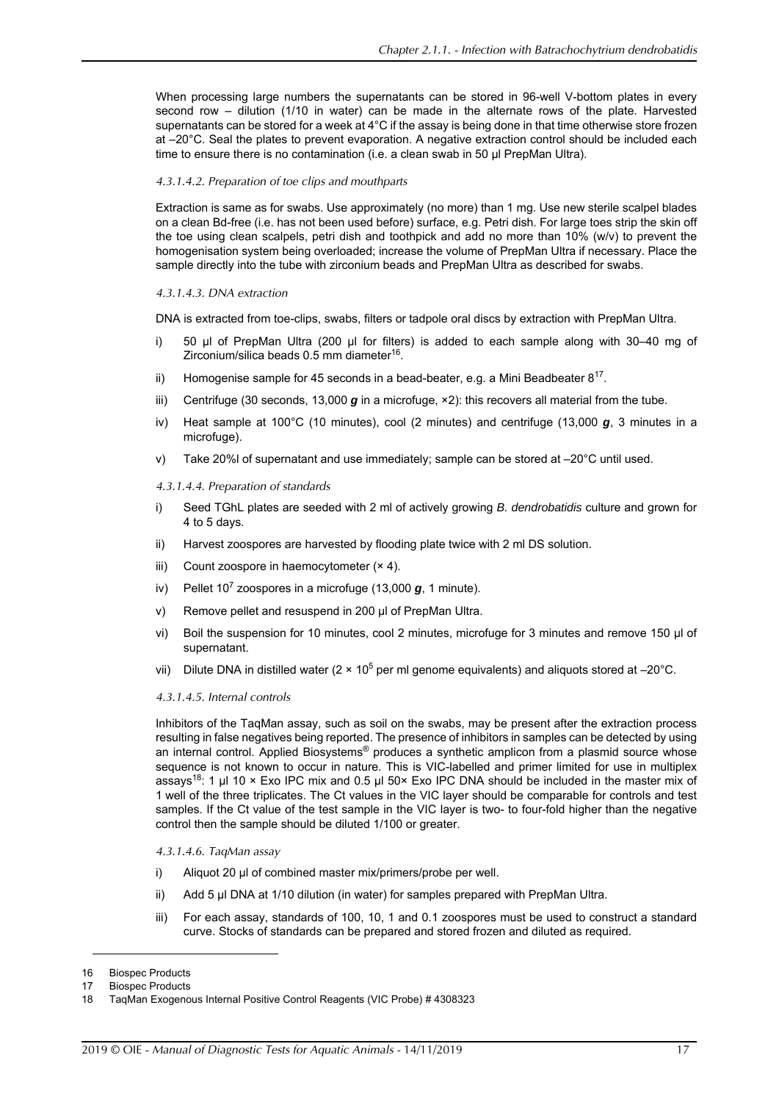When processing large numbers the supernatants can be stored in 96-well V-bottom plates in every second row – dilution (1/10 in water) can be made in the alternate rows of the plate. Harvested supernatants can be stored for a week at 4°C if the assay is being done in that time otherwise store frozen at –20°C. Seal the plates to prevent evaporation. A negative extraction control should be included each time to ensure there is no contamination (i.e. a clean swab in 50 µl PrepMan Ultra).

#### *4.3.1.4.2. Preparation of toe clips and mouthparts*

Extraction is same as for swabs. Use approximately (no more) than 1 mg. Use new sterile scalpel blades on a clean Bd-free (i.e. has not been used before) surface, e.g. Petri dish. For large toes strip the skin off the toe using clean scalpels, petri dish and toothpick and add no more than 10% (w/v) to prevent the homogenisation system being overloaded; increase the volume of PrepMan Ultra if necessary. Place the sample directly into the tube with zirconium beads and PrepMan Ultra as described for swabs.

#### *4.3.1.4.3. DNA extraction*

DNA is extracted from toe-clips, swabs, filters or tadpole oral discs by extraction with PrepMan Ultra.

- i) 50 µl of PrepMan Ultra (200 µl for filters) is added to each sample along with 30–40 mg of Zirconium/silica beads 0.5 mm diameter<sup>16</sup>.
- ii) Homogenise sample for 45 seconds in a bead-beater, e.g. a Mini Beadbeater  $8^{17}$ .
- iii) Centrifuge (30 seconds, 13,000  $g$  in a microfuge,  $\times$ 2): this recovers all material from the tube.
- iv) Heat sample at 100°C (10 minutes), cool (2 minutes) and centrifuge (13,000 *g*, 3 minutes in a microfuge).
- v) Take 20% of supernatant and use immediately; sample can be stored at  $-20^{\circ}$ C until used.

#### *4.3.1.4.4. Preparation of standards*

- i) Seed TGhL plates are seeded with 2 ml of actively growing *B. dendrobatidis* culture and grown for 4 to 5 days.
- ii) Harvest zoospores are harvested by flooding plate twice with 2 ml DS solution.
- iii) Count zoospore in haemocytometer  $(x 4)$ .
- iv) Pellet 10<sup>7</sup> zoospores in a microfuge (13,000 g, 1 minute).
- v) Remove pellet and resuspend in 200 µl of PrepMan Ultra.
- vi) Boil the suspension for 10 minutes, cool 2 minutes, microfuge for 3 minutes and remove 150 µl of supernatant.
- vii) Dilute DNA in distilled water (2 × 10<sup>5</sup> per ml genome equivalents) and aliquots stored at –20°C.

#### *4.3.1.4.5. Internal controls*

Inhibitors of the TaqMan assay, such as soil on the swabs, may be present after the extraction process resulting in false negatives being reported. The presence of inhibitors in samples can be detected by using an internal control. Applied Biosystems<sup>®</sup> produces a synthetic amplicon from a plasmid source whose sequence is not known to occur in nature. This is VIC-labelled and primer limited for use in multiplex assays<sup>18</sup>: 1 µl 10 × Exo IPC mix and 0.5 µl 50 × Exo IPC DNA should be included in the master mix of 1 well of the three triplicates. The Ct values in the VIC layer should be comparable for controls and test samples. If the Ct value of the test sample in the VIC layer is two- to four-fold higher than the negative control then the sample should be diluted 1/100 or greater.

*4.3.1.4.6. TaqMan assay*

- i) Aliquot 20 µl of combined master mix/primers/probe per well.
- ii) Add 5 µl DNA at 1/10 dilution (in water) for samples prepared with PrepMan Ultra.
- iii) For each assay, standards of 100, 10, 1 and 0.1 zoospores must be used to construct a standard curve. Stocks of standards can be prepared and stored frozen and diluted as required.

<sup>16</sup> Biospec Products

<sup>17</sup> Biospec Products

<sup>18</sup> TaqMan Exogenous Internal Positive Control Reagents (VIC Probe) # 4308323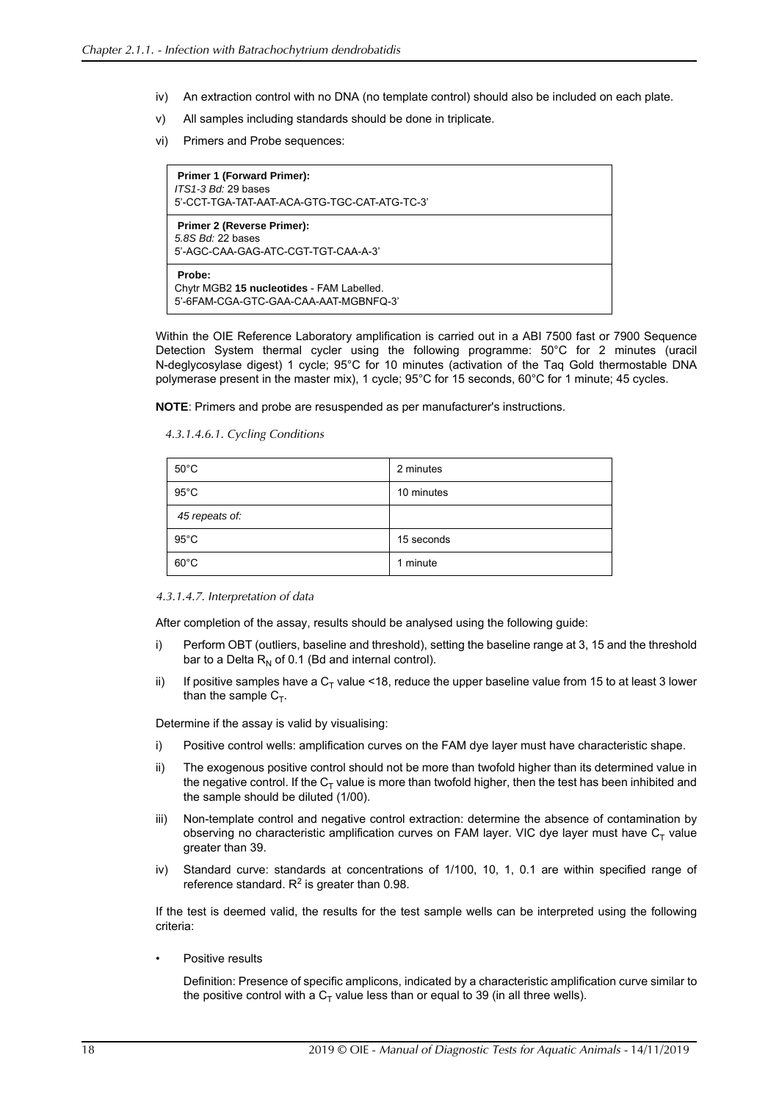- iv) An extraction control with no DNA (no template control) should also be included on each plate.
- v) All samples including standards should be done in triplicate.
- vi) Primers and Probe sequences:

**Primer 1 (Forward Primer):** *ITS1-3 Bd:* 29 bases 5'-CCT-TGA-TAT-AAT-ACA-GTG-TGC-CAT-ATG-TC-3' **Primer 2 (Reverse Primer):** *5.8S Bd:* 22 bases 5'-AGC-CAA-GAG-ATC-CGT-TGT-CAA-A-3' **Probe:** Chytr MGB2 **15 nucleotides** - FAM Labelled. 5'-6FAM-CGA-GTC-GAA-CAA-AAT-MGBNFQ-3'

Within the OIE Reference Laboratory amplification is carried out in a ABI 7500 fast or 7900 Sequence Detection System thermal cycler using the following programme: 50°C for 2 minutes (uracil N-deglycosylase digest) 1 cycle; 95°C for 10 minutes (activation of the Taq Gold thermostable DNA polymerase present in the master mix), 1 cycle; 95°C for 15 seconds, 60°C for 1 minute; 45 cycles.

**NOTE**: Primers and probe are resuspended as per manufacturer's instructions.

*4.3.1.4.6.1. Cycling Conditions*

| $50^{\circ}$ C | 2 minutes  |
|----------------|------------|
| $95^{\circ}$ C | 10 minutes |
| 45 repeats of: |            |
| $95^{\circ}$ C | 15 seconds |
| $60^{\circ}$ C | 1 minute   |

*<sup>4.3.1.4.7.</sup> Interpretation of data*

After completion of the assay, results should be analysed using the following guide:

- i) Perform OBT (outliers, baseline and threshold), setting the baseline range at 3, 15 and the threshold bar to a Delta  $R_N$  of 0.1 (Bd and internal control).
- ii) If positive samples have a  $C<sub>T</sub>$  value <18, reduce the upper baseline value from 15 to at least 3 lower than the sample  $C_T$ .

Determine if the assay is valid by visualising:

- i) Positive control wells: amplification curves on the FAM dye layer must have characteristic shape.
- ii) The exogenous positive control should not be more than twofold higher than its determined value in the negative control. If the  $C<sub>T</sub>$  value is more than twofold higher, then the test has been inhibited and the sample should be diluted (1/00).
- iii) Non-template control and negative control extraction: determine the absence of contamination by observing no characteristic amplification curves on FAM layer. VIC dye layer must have  $C_T$  value greater than 39.
- iv) Standard curve: standards at concentrations of 1/100, 10, 1, 0.1 are within specified range of reference standard.  $R^2$  is greater than 0.98.

If the test is deemed valid, the results for the test sample wells can be interpreted using the following criteria:

• Positive results

Definition: Presence of specific amplicons, indicated by a characteristic amplification curve similar to the positive control with a  $C_T$  value less than or equal to 39 (in all three wells).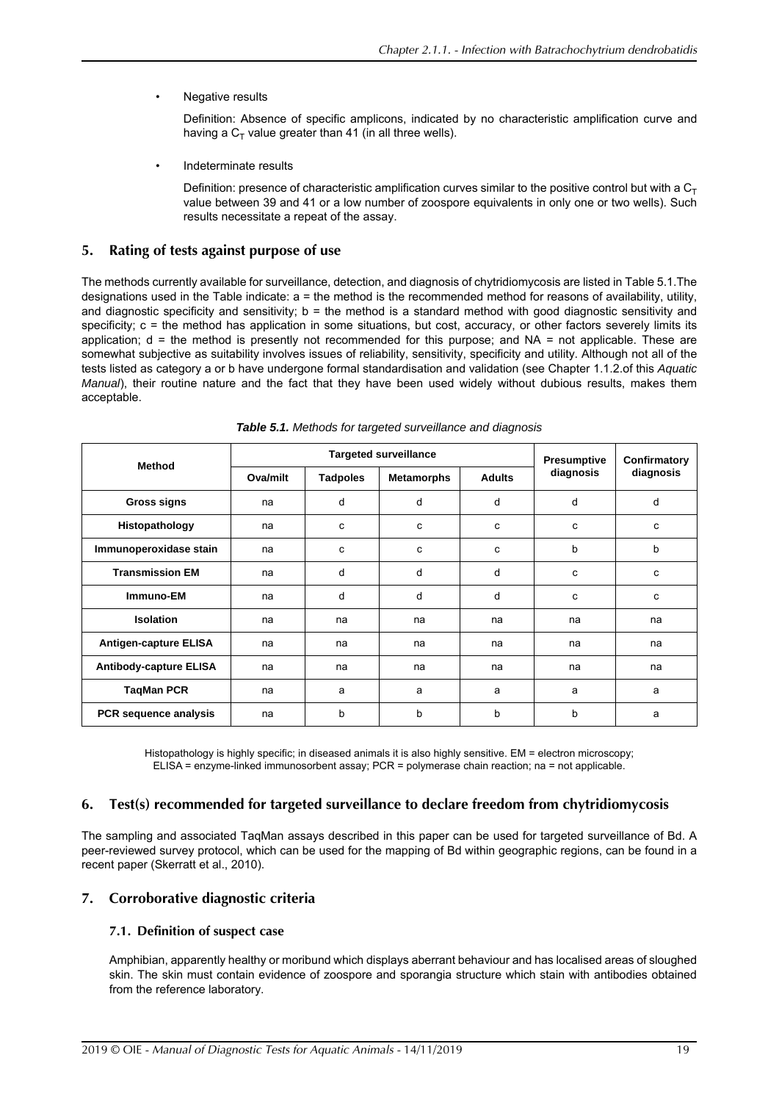• Negative results

Definition: Absence of specific amplicons, indicated by no characteristic amplification curve and having a  $C_T$  value greater than 41 (in all three wells).

• Indeterminate results

Definition: presence of characteristic amplification curves similar to the positive control but with a  $C<sub>T</sub>$ value between 39 and 41 or a low number of zoospore equivalents in only one or two wells). Such results necessitate a repeat of the assay.

## **5. Rating of tests against purpose of use**

<span id="page-18-0"></span>The methods currently available for surveillance, detection, and diagnosis of chytridiomycosis are listed in Table [5.1.](#page-18-0)The designations used in the Table indicate: a = the method is the recommended method for reasons of availability, utility, and diagnostic specificity and sensitivity; b = the method is a standard method with good diagnostic sensitivity and specificity; c = the method has application in some situations, but cost, accuracy, or other factors severely limits its application; d = the method is presently not recommended for this purpose; and NA = not applicable. These are somewhat subjective as suitability involves issues of reliability, sensitivity, specificity and utility. Although not all of the tests listed as category a or b have undergone formal standardisation and validation (see Chapter 1.1.2.of this *Aquatic Manual*), their routine nature and the fact that they have been used widely without dubious results, makes them acceptable.

| <b>Method</b>                 | <b>Targeted surveillance</b> |                 |                   | Presumptive   | Confirmatory |           |
|-------------------------------|------------------------------|-----------------|-------------------|---------------|--------------|-----------|
|                               | Ova/milt                     | <b>Tadpoles</b> | <b>Metamorphs</b> | <b>Adults</b> | diagnosis    | diagnosis |
| <b>Gross signs</b>            | na                           | d               | d                 | d             | d            | d         |
| Histopathology                | na                           | c               | c                 | c             | C            | c         |
| Immunoperoxidase stain        | na                           | c               | c                 | c             | b            | b         |
| <b>Transmission EM</b>        | na                           | d               | d                 | d             | C.           | c         |
| Immuno-EM                     | na                           | d               | d                 | d             | C            | c         |
| Isolation                     | na                           | na              | na                | na            | na           | na        |
| <b>Antigen-capture ELISA</b>  | na                           | na              | na                | na            | na           | na        |
| <b>Antibody-capture ELISA</b> | na                           | na              | na                | na            | na           | na        |
| <b>TaqMan PCR</b>             | na                           | a               | a                 | a             | a            | a         |
| <b>PCR</b> sequence analysis  | na                           | b               | b                 | b             | b            | a         |

| Table 5.1. Methods for targeted surveillance and diagnosis |  |  |
|------------------------------------------------------------|--|--|
|------------------------------------------------------------|--|--|

Histopathology is highly specific; in diseased animals it is also highly sensitive. EM = electron microscopy; ELISA = enzyme-linked immunosorbent assay; PCR = polymerase chain reaction; na = not applicable.

## **6. Test(s) recommended for targeted surveillance to declare freedom from chytridiomycosis**

The sampling and associated TaqMan assays described in this paper can be used for targeted surveillance of Bd. A peer-reviewed survey protocol, which can be used for the mapping of Bd within geographic regions, can be found in a recent paper [\(Skerratt et al., 2010\)](#page-21-5).

## **7. Corroborative diagnostic criteria**

## **7.1. Definition of suspect case**

Amphibian, apparently healthy or moribund which displays aberrant behaviour and has localised areas of sloughed skin. The skin must contain evidence of zoospore and sporangia structure which stain with antibodies obtained from the reference laboratory.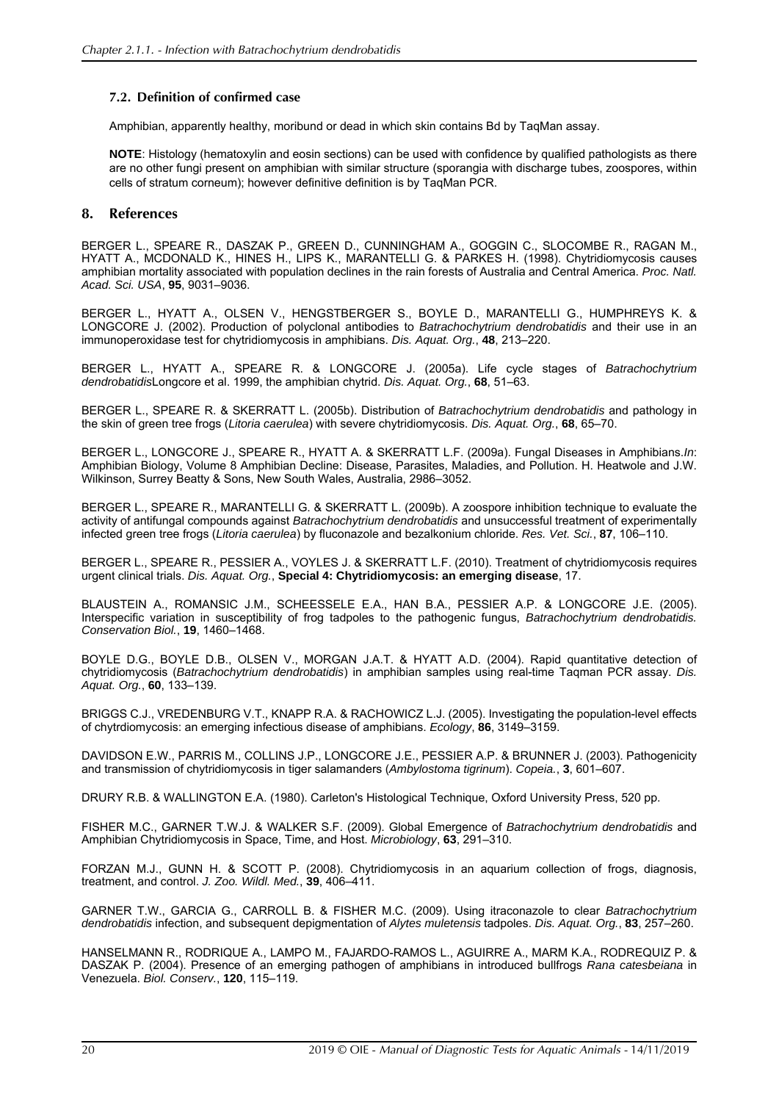## **7.2. Definition of confirmed case**

Amphibian, apparently healthy, moribund or dead in which skin contains Bd by TaqMan assay.

**NOTE**: Histology (hematoxylin and eosin sections) can be used with confidence by qualified pathologists as there are no other fungi present on amphibian with similar structure (sporangia with discharge tubes, zoospores, within cells of stratum corneum); however definitive definition is by TaqMan PCR.

## **8. References**

<span id="page-19-0"></span>BERGER L., SPEARE R., DASZAK P., GREEN D., CUNNINGHAM A., GOGGIN C., SLOCOMBE R., RAGAN M., HYATT A., MCDONALD K., HINES H., LIPS K., MARANTELLI G. & PARKES H. (1998). Chytridiomycosis causes amphibian mortality associated with population declines in the rain forests of Australia and Central America. *Proc. Natl. Acad. Sci. USA*, **95**, 9031–9036.

<span id="page-19-14"></span>BERGER L., HYATT A., OLSEN V., HENGSTBERGER S., BOYLE D., MARANTELLI G., HUMPHREYS K. & LONGCORE J. (2002). Production of polyclonal antibodies to *Batrachochytrium dendrobatidis* and their use in an immunoperoxidase test for chytridiomycosis in amphibians. *Dis. Aquat. Org.*, **48**, 213–220.

<span id="page-19-3"></span>BERGER L., HYATT A., SPEARE R. & LONGCORE J. (2005a). Life cycle stages of *Batrachochytrium dendrobatidis*Longcore et al. 1999, the amphibian chytrid. *Dis. Aquat. Org.*, **68**, 51–63.

<span id="page-19-4"></span>BERGER L., SPEARE R. & SKERRATT L. (2005b). Distribution of *Batrachochytrium dendrobatidis* and pathology in the skin of green tree frogs (*Litoria caerulea*) with severe chytridiomycosis. *Dis. Aquat. Org.*, **68**, 65–70.

<span id="page-19-11"></span>BERGER L., LONGCORE J., SPEARE R., HYATT A. & SKERRATT L.F. (2009a). Fungal Diseases in Amphibians.*In*: Amphibian Biology, Volume 8 Amphibian Decline: Disease, Parasites, Maladies, and Pollution. H. Heatwole and J.W. Wilkinson, Surrey Beatty & Sons, New South Wales, Australia, 2986–3052.

<span id="page-19-13"></span>BERGER L., SPEARE R., MARANTELLI G. & SKERRATT L. (2009b). A zoospore inhibition technique to evaluate the activity of antifungal compounds against *Batrachochytrium dendrobatidis* and unsuccessful treatment of experimentally infected green tree frogs (*Litoria caerulea*) by fluconazole and bezalkonium chloride. *Res. Vet. Sci.*, **87**, 106–110.

<span id="page-19-8"></span>BERGER L., SPEARE R., PESSIER A., VOYLES J. & SKERRATT L.F. (2010). Treatment of chytridiomycosis requires urgent clinical trials. *Dis. Aquat. Org.*, **Special 4: Chytridiomycosis: an emerging disease**, 17.

<span id="page-19-2"></span>BLAUSTEIN A., ROMANSIC J.M., SCHEESSELE E.A., HAN B.A., PESSIER A.P. & LONGCORE J.E. (2005). Interspecific variation in susceptibility of frog tadpoles to the pathogenic fungus, *Batrachochytrium dendrobatidis. Conservation Biol.*, **19**, 1460–1468.

<span id="page-19-15"></span>BOYLE D.G., BOYLE D.B., OLSEN V., MORGAN J.A.T. & HYATT A.D. (2004). Rapid quantitative detection of chytridiomycosis (*Batrachochytrium dendrobatidis*) in amphibian samples using real-time Taqman PCR assay. *Dis. Aquat. Org.*, **60**, 133–139.

<span id="page-19-7"></span>BRIGGS C.J., VREDENBURG V.T., KNAPP R.A. & RACHOWICZ L.J. (2005). Investigating the population-level effects of chytrdiomycosis: an emerging infectious disease of amphibians. *Ecology*, **86**, 3149–3159.

<span id="page-19-5"></span>DAVIDSON E.W., PARRIS M., COLLINS J.P., LONGCORE J.E., PESSIER A.P. & BRUNNER J. (2003). Pathogenicity and transmission of chytridiomycosis in tiger salamanders (*Ambylostoma tigrinum*). *Copeia.*, **3**, 601–607.

<span id="page-19-12"></span>DRURY R.B. & WALLINGTON E.A. (1980). Carleton's Histological Technique, Oxford University Press, 520 pp.

<span id="page-19-1"></span>FISHER M.C., GARNER T.W.J. & WALKER S.F. (2009). Global Emergence of *Batrachochytrium dendrobatidis* and Amphibian Chytridiomycosis in Space, Time, and Host. *Microbiology*, **63**, 291–310.

<span id="page-19-9"></span>FORZAN M.J., GUNN H. & SCOTT P. (2008). Chytridiomycosis in an aquarium collection of frogs, diagnosis, treatment, and control. *J. Zoo. Wildl. Med.*, **39**, 406–411.

<span id="page-19-10"></span>GARNER T.W., GARCIA G., CARROLL B. & FISHER M.C. (2009). Using itraconazole to clear *Batrachochytrium dendrobatidis* infection, and subsequent depigmentation of *Alytes muletensis* tadpoles. *Dis. Aquat. Org.*, **83**, 257–260.

<span id="page-19-6"></span>HANSELMANN R., RODRIQUE A., LAMPO M., FAJARDO-RAMOS L., AGUIRRE A., MARM K.A., RODREQUIZ P. & DASZAK P. (2004). Presence of an emerging pathogen of amphibians in introduced bullfrogs *Rana catesbeiana* in Venezuela. *Biol. Conserv.*, **120**, 115–119.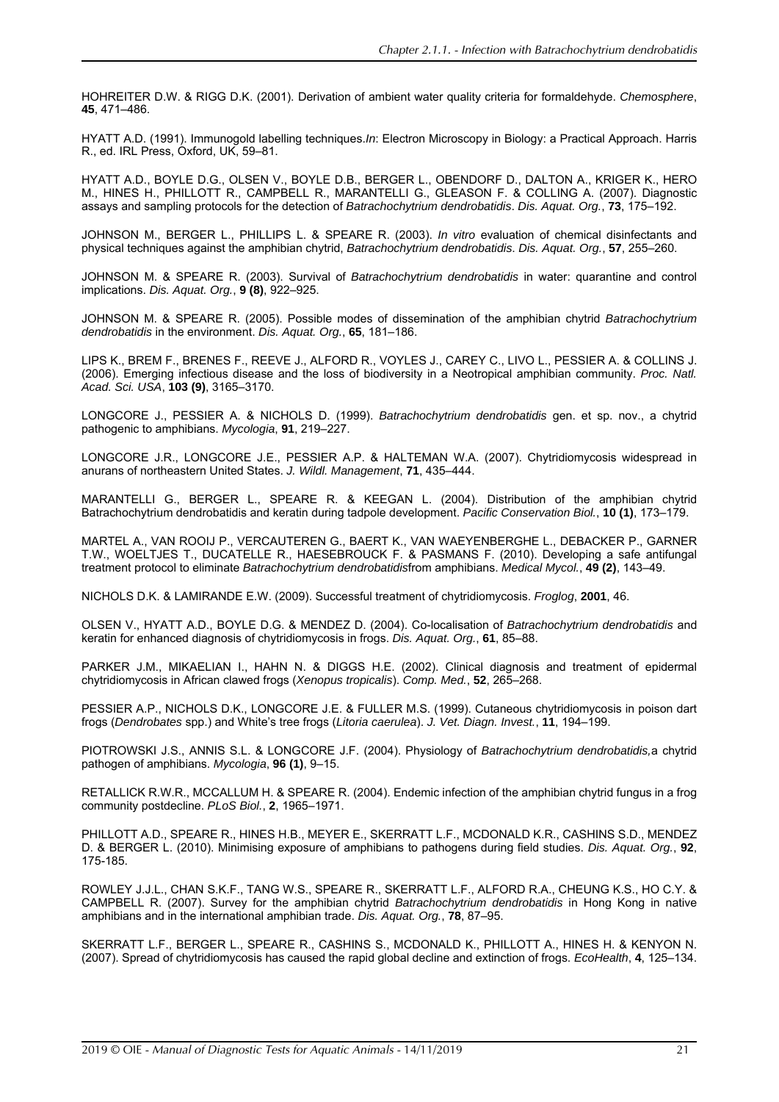<span id="page-20-13"></span>HOHREITER D.W. & RIGG D.K. (2001). Derivation of ambient water quality criteria for formaldehyde. *Chemosphere*, **45**, 471–486.

<span id="page-20-19"></span>HYATT A.D. (1991). Immunogold labelling techniques.*In*: Electron Microscopy in Biology: a Practical Approach. Harris R., ed. IRL Press, Oxford, UK, 59–81.

<span id="page-20-0"></span>HYATT A.D., BOYLE D.G., OLSEN V., BOYLE D.B., BERGER L., OBENDORF D., DALTON A., KRIGER K., HERO M., HINES H., PHILLOTT R., CAMPBELL R., MARANTELLI G., GLEASON F. & COLLING A. (2007). Diagnostic assays and sampling protocols for the detection of *Batrachochytrium dendrobatidis*. *Dis. Aquat. Org.*, **73**, 175–192.

<span id="page-20-7"></span>JOHNSON M., BERGER L., PHILLIPS L. & SPEARE R. (2003). *In vitro* evaluation of chemical disinfectants and physical techniques against the amphibian chytrid, *Batrachochytrium dendrobatidis*. *Dis. Aquat. Org.*, **57**, 255–260.

<span id="page-20-4"></span>JOHNSON M. & SPEARE R. (2003). Survival of *Batrachochytrium dendrobatidis* in water: quarantine and control implications. *Dis. Aquat. Org.*, **9 (8)**, 922–925.

<span id="page-20-5"></span>JOHNSON M. & SPEARE R. (2005). Possible modes of dissemination of the amphibian chytrid *Batrachochytrium dendrobatidis* in the environment. *Dis. Aquat. Org.*, **65**, 181–186.

<span id="page-20-2"></span>LIPS K., BREM F., BRENES F., REEVE J., ALFORD R., VOYLES J., CAREY C., LIVO L., PESSIER A. & COLLINS J. (2006). Emerging infectious disease and the loss of biodiversity in a Neotropical amphibian community. *Proc. Natl. Acad. Sci. USA*, **103 (9)**, 3165–3170.

<span id="page-20-1"></span>LONGCORE J., PESSIER A. & NICHOLS D. (1999). *Batrachochytrium dendrobatidis* gen. et sp. nov., a chytrid pathogenic to amphibians. *Mycologia*, **91**, 219–227.

<span id="page-20-17"></span>LONGCORE J.R., LONGCORE J.E., PESSIER A.P. & HALTEMAN W.A. (2007). Chytridiomycosis widespread in anurans of northeastern United States. *J. Wildl. Management*, **71**, 435–444.

<span id="page-20-9"></span>MARANTELLI G., BERGER L., SPEARE R. & KEEGAN L. (2004). Distribution of the amphibian chytrid Batrachochytrium dendrobatidis and keratin during tadpole development. *Pacific Conservation Biol.*, **10 (1)**, 173–179.

<span id="page-20-16"></span>MARTEL A., VAN ROOIJ P., VERCAUTEREN G., BAERT K., VAN WAEYENBERGHE L., DEBACKER P., GARNER T.W., WOELTJES T., DUCATELLE R., HAESEBROUCK F. & PASMANS F. (2010). Developing a safe antifungal treatment protocol to eliminate *Batrachochytrium dendrobatidis*from amphibians. *Medical Mycol.*, **49 (2)**, 143–49.

<span id="page-20-14"></span>NICHOLS D.K. & LAMIRANDE E.W. (2009). Successful treatment of chytridiomycosis. *Froglog*, **2001**, 46.

<span id="page-20-18"></span>OLSEN V., HYATT A.D., BOYLE D.G. & MENDEZ D. (2004). Co-localisation of *Batrachochytrium dendrobatidis* and keratin for enhanced diagnosis of chytridiomycosis in frogs. *Dis. Aquat. Org.*, **61**, 85–88.

<span id="page-20-15"></span>PARKER J.M., MIKAELIAN I., HAHN N. & DIGGS H.E. (2002). Clinical diagnosis and treatment of epidermal chytridiomycosis in African clawed frogs (*Xenopus tropicalis*). *Comp. Med.*, **52**, 265–268.

<span id="page-20-10"></span>PESSIER A.P., NICHOLS D.K., LONGCORE J.E. & FULLER M.S. (1999). Cutaneous chytridiomycosis in poison dart frogs (*Dendrobates* spp.) and White's tree frogs (*Litoria caerulea*). *J. Vet. Diagn. Invest.*, **11**, 194–199.

<span id="page-20-8"></span>PIOTROWSKI J.S., ANNIS S.L. & LONGCORE J.F. (2004). Physiology of *Batrachochytrium dendrobatidis,*a chytrid pathogen of amphibians. *Mycologia*, **96 (1)**, 9–15.

<span id="page-20-12"></span>RETALLICK R.W.R., MCCALLUM H. & SPEARE R. (2004). Endemic infection of the amphibian chytrid fungus in a frog community postdecline. *PLoS Biol.*, **2**, 1965–1971.

<span id="page-20-6"></span>PHILLOTT A.D., SPEARE R., HINES H.B., MEYER E., SKERRATT L.F., MCDONALD K.R., CASHINS S.D., MENDEZ D. & BERGER L. (2010). Minimising exposure of amphibians to pathogens during field studies. *Dis. Aquat. Org.*, **92**, 175-185.

<span id="page-20-11"></span>ROWLEY J.J.L., CHAN S.K.F., TANG W.S., SPEARE R., SKERRATT L.F., ALFORD R.A., CHEUNG K.S., HO C.Y. & CAMPBELL R. (2007). Survey for the amphibian chytrid *Batrachochytrium dendrobatidis* in Hong Kong in native amphibians and in the international amphibian trade. *Dis. Aquat. Org.*, **78**, 87–95.

<span id="page-20-3"></span>SKERRATT L.F., BERGER L., SPEARE R., CASHINS S., MCDONALD K., PHILLOTT A., HINES H. & KENYON N. (2007). Spread of chytridiomycosis has caused the rapid global decline and extinction of frogs. *EcoHealth*, **4**, 125–134.